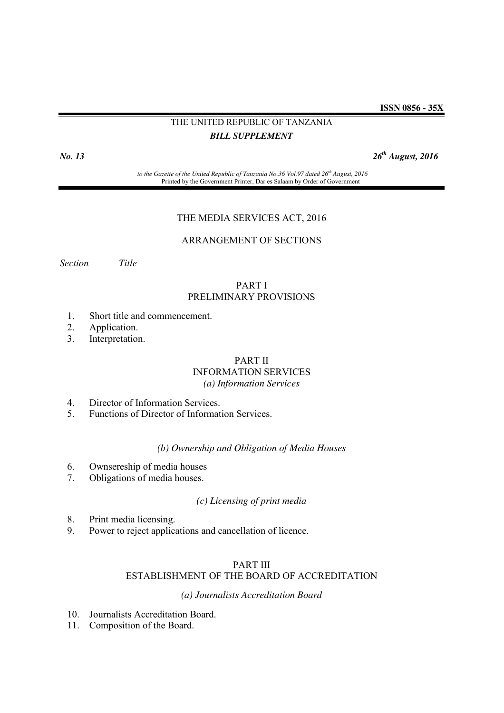**ISSN 0856 - 35X**

# THE UNITED REPUBLIC OF TANZANIA *BILL SUPPLEMENT*

*No. 13 26th August, 2016*

*to the Gazette of the United Republic of Tanzania No.36 Vol.97 dated 26th August, 2016* Printed by the Government Printer, Dar es Salaam by Order of Government

# THE MEDIA SERVICES ACT, 2016

# ARRANGEMENT OF SECTIONS

*Section Title* 

# PART I PRELIMINARY PROVISIONS

- 1. Short title and commencement.
- 2. Application.
- 3. Interpretation.

# PART II

# INFORMATION SERVICES

*(a) Information Services*

- 4. Director of Information Services.
- 5. Functions of Director of Information Services.

# *(b) Ownership and Obligation of Media Houses*

- 6. Ownsereship of media houses
- 7. Obligations of media houses.

# *(c) Licensing of print media*

- 8. Print media licensing.
- 9. Power to reject applications and cancellation of licence.

### PART III

# ESTABLISHMENT OF THE BOARD OF ACCREDITATION

# *(a) Journalists Accreditation Board*

- 10. Journalists Accreditation Board.
- 11. Composition of the Board.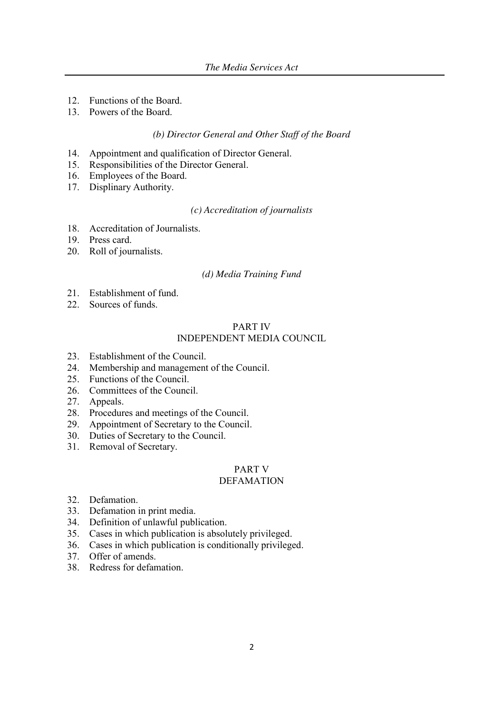- 12. Functions of the Board.
- 13. Powers of the Board.

### *(b) Director General and Other Staff of the Board*

- 14. Appointment and qualification of Director General.
- 15. Responsibilities of the Director General.
- 16. Employees of the Board.
- 17. Displinary Authority.

# *(c) Accreditation of journalists*

- 18. Accreditation of Journalists.
- 19. Press card.
- 20. Roll of journalists.

#### *(d) Media Training Fund*

- 21. Establishment of fund.
- 22. Sources of funds.

# PART IV INDEPENDENT MEDIA COUNCIL

- 23. Establishment of the Council.
- 24. Membership and management of the Council.
- 25. Functions of the Council.
- 26. Committees of the Council.
- 27. Appeals.
- 28. Procedures and meetings of the Council.
- 29. Appointment of Secretary to the Council.
- 30. Duties of Secretary to the Council.
- 31. Removal of Secretary.

# PART V

# DEFAMATION

- 32. Defamation.
- 33. Defamation in print media.
- 34. Definition of unlawful publication.
- 35. Cases in which publication is absolutely privileged.
- 36. Cases in which publication is conditionally privileged.
- 37. Offer of amends.
- 38. Redress for defamation.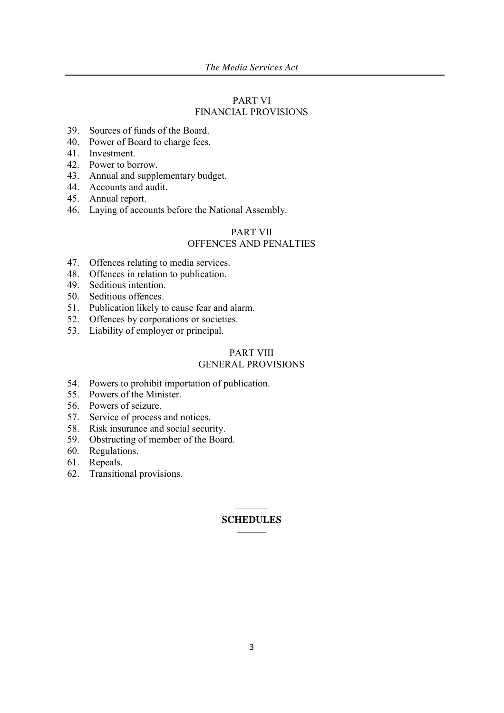# PART VI FINANCIAL PROVISIONS

- 39. Sources of funds of the Board.
- 40. Power of Board to charge fees.
- 41. Investment.
- 42. Power to borrow.
- 43. Annual and supplementary budget.
- 44. Accounts and audit.
- 45. Annual report.
- 46. Laying of accounts before the National Assembly.

# PART VII OFFENCES AND PENALTIES

- 47. Offences relating to media services.
- 48. Offences in relation to publication.
- 49. Seditious intention.
- 50. Seditious offences.
- 51. Publication likely to cause fear and alarm.
- 52. Offences by corporations or societies.
- 53. Liability of employer or principal.

### PART VIII GENERAL PROVISIONS

- 54. Powers to prohibit importation of publication.
- 55. Powers of the Minister.
- 56. Powers of seizure.
- 57. Service of process and notices.
- 58. Risk insurance and social security.
- 59. Obstructing of member of the Board.
- 60. Regulations.
- 61. Repeals.
- 62. Transitional provisions.

#### $\mathcal{L}_\text{max}$ **SCHEDULES**  $\mathcal{L}=\mathcal{L}$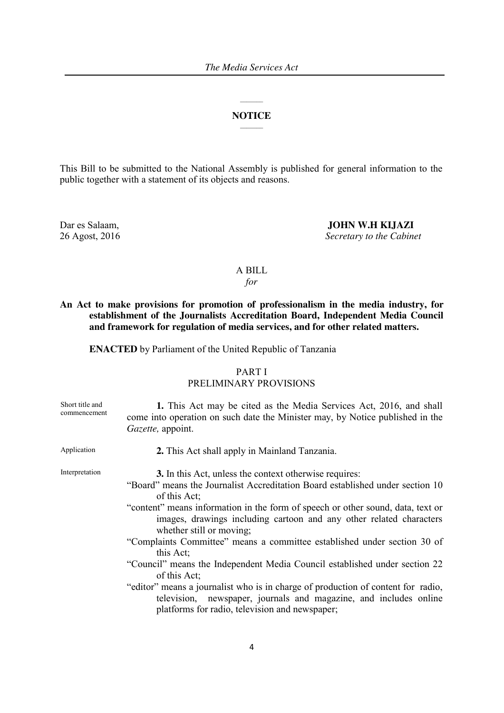# $\mathcal{L}_\text{max}$ **NOTICE**  $\mathcal{L}_\text{max}$

This Bill to be submitted to the National Assembly is published for general information to the public together with a statement of its objects and reasons.

Dar es Salaam, **JOHN W.H KIJAZI** 26 Agost, 2016 *Secretary to the Cabinet*

# A BILL

*for*

**An Act to make provisions for promotion of professionalism in the media industry, for establishment of the Journalists Accreditation Board, Independent Media Council and framework for regulation of media services, and for other related matters.**

**ENACTED** by Parliament of the United Republic of Tanzania

# PART I

# PRELIMINARY PROVISIONS

| Short title and<br>commencement | 1. This Act may be cited as the Media Services Act, 2016, and shall<br>come into operation on such date the Minister may, by Notice published in the<br><i>Gazette</i> , appoint.                       |
|---------------------------------|---------------------------------------------------------------------------------------------------------------------------------------------------------------------------------------------------------|
| Application                     | 2. This Act shall apply in Mainland Tanzania.                                                                                                                                                           |
| Interpretation                  | 3. In this Act, unless the context otherwise requires:                                                                                                                                                  |
|                                 | "Board" means the Journalist Accreditation Board established under section 10<br>of this Act;                                                                                                           |
|                                 | "content" means information in the form of speech or other sound, data, text or<br>images, drawings including cartoon and any other related characters<br>whether still or moving;                      |
|                                 | "Complaints Committee" means a committee established under section 30 of<br>this Act:                                                                                                                   |
|                                 | "Council" means the Independent Media Council established under section 22<br>of this Act;                                                                                                              |
|                                 | "editor" means a journalist who is in charge of production of content for radio,<br>television, newspaper, journals and magazine, and includes online<br>platforms for radio, television and newspaper; |
|                                 |                                                                                                                                                                                                         |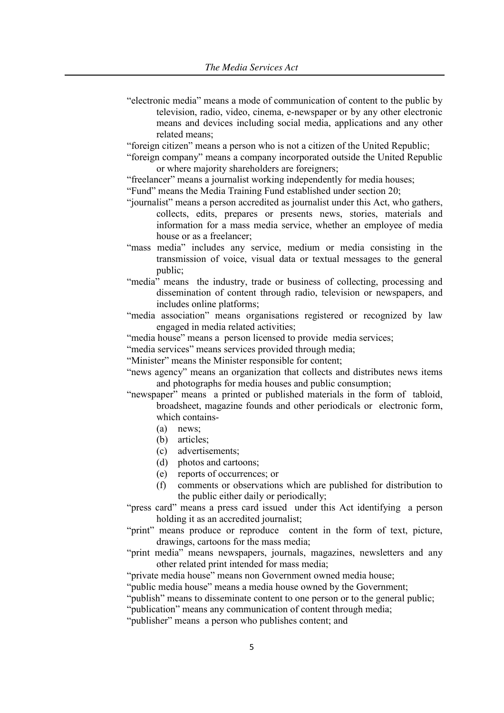"electronic media" means a mode of communication of content to the public by television, radio, video, cinema, e-newspaper or by any other electronic means and devices including social media, applications and any other related means;

"foreign citizen" means a person who is not a citizen of the United Republic;

"foreign company" means a company incorporated outside the United Republic or where majority shareholders are foreigners;

"freelancer" means a journalist working independently for media houses;

"Fund" means the Media Training Fund established under section 20;

- "journalist" means a person accredited as journalist under this Act, who gathers, collects, edits, prepares or presents news, stories, materials and information for a mass media service, whether an employee of media house or as a freelancer;
- "mass media" includes any service, medium or media consisting in the transmission of voice, visual data or textual messages to the general public;
- "media" means the industry, trade or business of collecting, processing and dissemination of content through radio, television or newspapers, and includes online platforms;
- "media association" means organisations registered or recognized by law engaged in media related activities;
- "media house" means a person licensed to provide media services;

"media services" means services provided through media;

"Minister" means the Minister responsible for content;

"news agency" means an organization that collects and distributes news items and photographs for media houses and public consumption;

"newspaper" means a printed or published materials in the form of tabloid, broadsheet, magazine founds and other periodicals or electronic form, which contains-

- (a) news;
- (b) articles;
- (c) advertisements;
- (d) photos and cartoons;
- (e) reports of occurrences; or
- (f) comments or observations which are published for distribution to the public either daily or periodically;

"press card" means a press card issued under this Act identifying a person holding it as an accredited journalist;

- "print" means produce or reproduce content in the form of text, picture, drawings, cartoons for the mass media;
- "print media" means newspapers, journals, magazines, newsletters and any other related print intended for mass media;

"private media house" means non Government owned media house;

"public media house" means a media house owned by the Government;

"publish" means to disseminate content to one person or to the general public;

"publication" means any communication of content through media;

"publisher" means a person who publishes content; and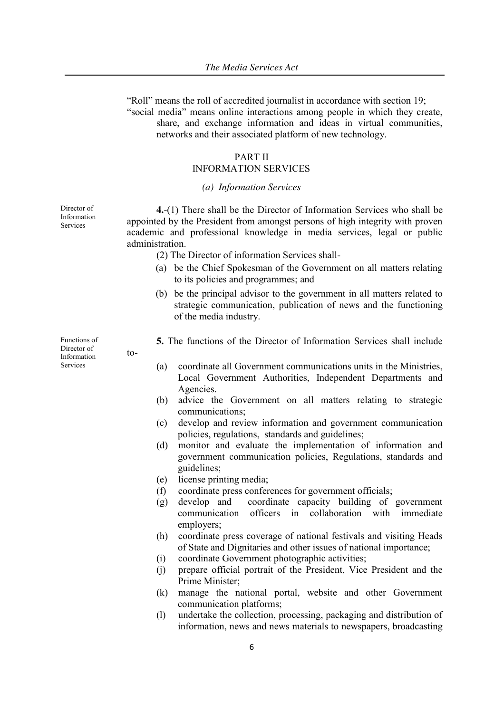"Roll" means the roll of accredited journalist in accordance with section 19; "social media" means online interactions among people in which they create, share, and exchange information and ideas in virtual communities, networks and their associated platform of new technology.

# PART II

# INFORMATION SERVICES

#### *(a) Information Services*

Director of Information Services

**4.**-(1) There shall be the Director of Information Services who shall be appointed by the President from amongst persons of high integrity with proven academic and professional knowledge in media services, legal or public administration.

- (2) The Director of information Services shall-
- (a) be the Chief Spokesman of the Government on all matters relating to its policies and programmes; and
- (b) be the principal advisor to the government in all matters related to strategic communication, publication of news and the functioning of the media industry.
- **5.** The functions of the Director of Information Services shall include
- (a) coordinate all Government communications units in the Ministries, Local Government Authorities, Independent Departments and Agencies.
- (b) advice the Government on all matters relating to strategic communications;
- (c) develop and review information and government communication policies, regulations, standards and guidelines;
- (d) monitor and evaluate the implementation of information and government communication policies, Regulations, standards and guidelines;
- (e) license printing media;
- (f) coordinate press conferences for government officials;
- (g) develop and coordinate capacity building of government communication officers in collaboration with immediate employers;
- (h) coordinate press coverage of national festivals and visiting Heads of State and Dignitaries and other issues of national importance;
- (i) coordinate Government photographic activities;
- (j) prepare official portrait of the President, Vice President and the Prime Minister;
- (k) manage the national portal, website and other Government communication platforms;
- (l) undertake the collection, processing, packaging and distribution of information, news and news materials to newspapers, broadcasting

Functions of Director of Information Services

 $t_0$ -

6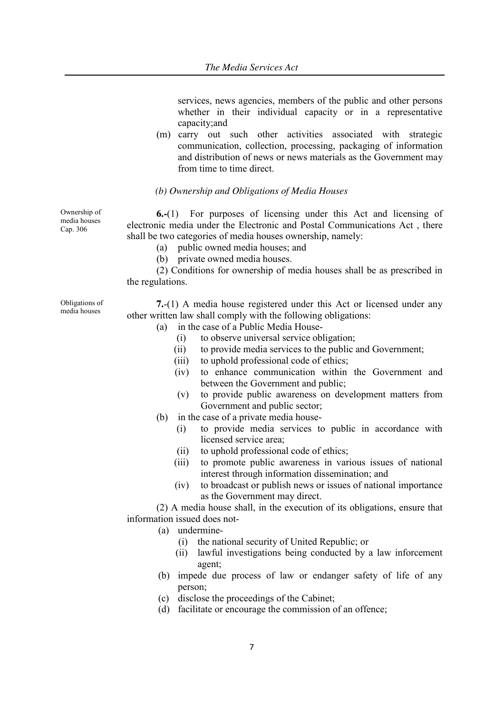services, news agencies, members of the public and other persons whether in their individual capacity or in a representative capacity;and

(m) carry out such other activities associated with strategic communication, collection, processing, packaging of information and distribution of news or news materials as the Government may from time to time direct.

# *(b) Ownership and Obligations of Media Houses*

**6.-**(1) For purposes of licensing under this Act and licensing of electronic media under the Electronic and Postal Communications Act , there shall be two categories of media houses ownership, namely:

(a) public owned media houses; and

(b) private owned media houses.

(2) Conditions for ownership of media houses shall be as prescribed in the regulations.

Obligations of media houses

Ownership of media houses Cap. 306

- **7.**-(1) A media house registered under this Act or licensed under any other written law shall comply with the following obligations:
	- (a) in the case of a Public Media House-
		- (i) to observe universal service obligation;
		- (ii) to provide media services to the public and Government;
		- (iii) to uphold professional code of ethics;
		- (iv) to enhance communication within the Government and between the Government and public;
		- (v) to provide public awareness on development matters from Government and public sector;
	- (b) in the case of a private media house-
		- (i) to provide media services to public in accordance with licensed service area;
		- (ii) to uphold professional code of ethics;
		- (iii) to promote public awareness in various issues of national interest through information dissemination; and
		- (iv) to broadcast or publish news or issues of national importance as the Government may direct.

(2) A media house shall, in the execution of its obligations, ensure that information issued does not-

- (a) undermine-
	- (i) the national security of United Republic; or
	- (ii) lawful investigations being conducted by a law inforcement agent;
- (b) impede due process of law or endanger safety of life of any person;
- (c) disclose the proceedings of the Cabinet;
- (d) facilitate or encourage the commission of an offence;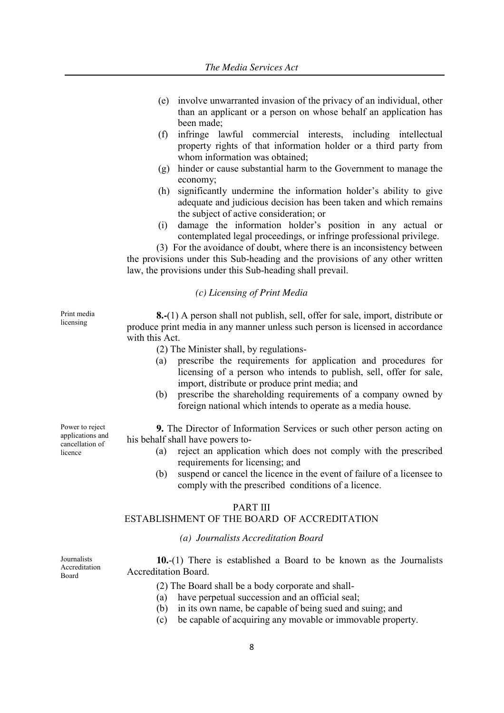- (e) involve unwarranted invasion of the privacy of an individual, other than an applicant or a person on whose behalf an application has been made;
- (f) infringe lawful commercial interests, including intellectual property rights of that information holder or a third party from whom information was obtained:
- (g) hinder or cause substantial harm to the Government to manage the economy;
- (h) significantly undermine the information holder's ability to give adequate and judicious decision has been taken and which remains the subject of active consideration; or
- (i) damage the information holder's position in any actual or contemplated legal proceedings, or infringe professional privilege.

(3) For the avoidance of doubt, where there is an inconsistency between the provisions under this Sub-heading and the provisions of any other written law, the provisions under this Sub-heading shall prevail.

# *(c) Licensing of Print Media*

Print media licensing

**8.-**(1) A person shall not publish, sell, offer for sale, import, distribute or produce print media in any manner unless such person is licensed in accordance with this Act.

- (2) The Minister shall, by regulations-
- (a) prescribe the requirements for application and procedures for licensing of a person who intends to publish, sell, offer for sale, import, distribute or produce print media; and
- (b) prescribe the shareholding requirements of a company owned by foreign national which intends to operate as a media house.

Power to reject applications and cancellation of licence

**9.** The Director of Information Services or such other person acting on his behalf shall have powers to-

- (a) reject an application which does not comply with the prescribed requirements for licensing; and
- (b) suspend or cancel the licence in the event of failure of a licensee to comply with the prescribed conditions of a licence.

# PART III

### ESTABLISHMENT OF THE BOARD OF ACCREDITATION

# *(a) Journalists Accreditation Board*

Journalists Accreditation Board

**10.**-(1) There is established a Board to be known as the Journalists Accreditation Board.

- (2) The Board shall be a body corporate and shall-
- (a) have perpetual succession and an official seal;
- (b) in its own name, be capable of being sued and suing; and
- (c) be capable of acquiring any movable or immovable property.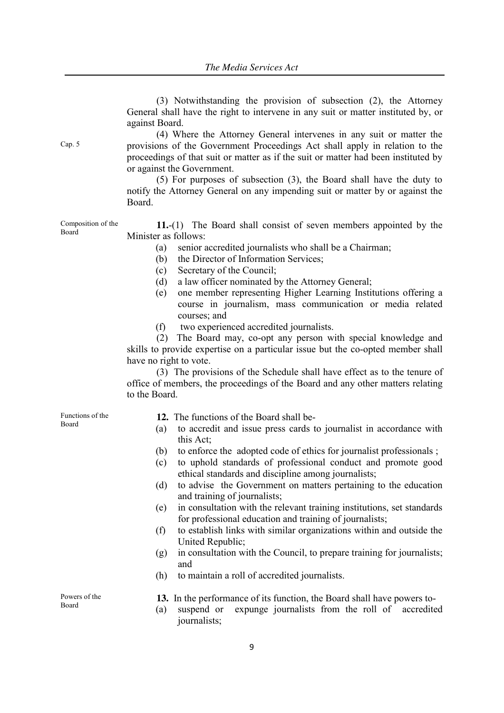(3) Notwithstanding the provision of subsection (2), the Attorney General shall have the right to intervene in any suit or matter instituted by, or against Board.

(4) Where the Attorney General intervenes in any suit or matter the provisions of the Government Proceedings Act shall apply in relation to the proceedings of that suit or matter as if the suit or matter had been instituted by or against the Government.

(5) For purposes of subsection (3), the Board shall have the duty to notify the Attorney General on any impending suit or matter by or against the Board.

Composition of the **11.**-(1) The Board shall consist of seven members appointed by the Minister as follows:

(a) senior accredited journalists who shall be a Chairman;

- (b) the Director of Information Services;
- (c) Secretary of the Council;
- (d) a law officer nominated by the Attorney General;
- (e) one member representing Higher Learning Institutions offering a course in journalism, mass communication or media related courses; and
- (f) two experienced accredited journalists.

(2) The Board may, co-opt any person with special knowledge and skills to provide expertise on a particular issue but the co-opted member shall have no right to vote.

(3) The provisions of the Schedule shall have effect as to the tenure of office of members, the proceedings of the Board and any other matters relating to the Board.

Functions of the Board

- **12.** The functions of the Board shall be-
- (a) to accredit and issue press cards to journalist in accordance with this Act;
- (b) to enforce the adopted code of ethics for journalist professionals ;
- (c) to uphold standards of professional conduct and promote good ethical standards and discipline among journalists;
- (d) to advise the Government on matters pertaining to the education and training of journalists;
- (e) in consultation with the relevant training institutions, set standards for professional education and training of journalists;
- (f) to establish links with similar organizations within and outside the United Republic;
- (g) in consultation with the Council, to prepare training for journalists; and
- (h) to maintain a roll of accredited journalists.

**13.** In the performance of its function, the Board shall have powers to-

(a) suspend or expunge journalists from the roll of accredited journalists;

Powers of the Board

Cap. 5

Board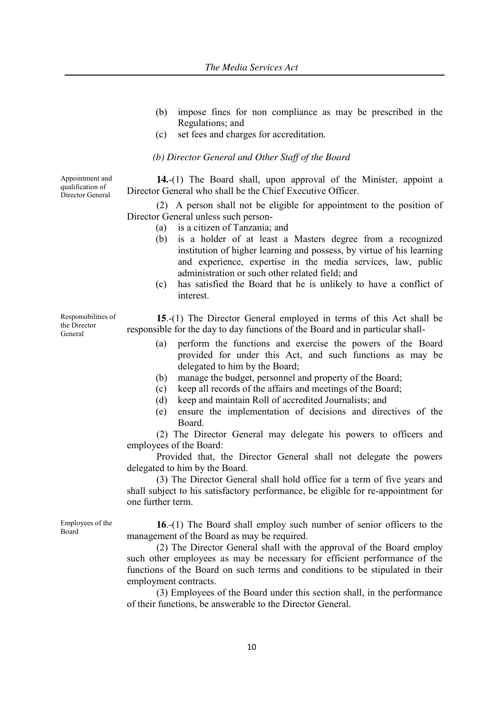- (b) impose fines for non compliance as may be prescribed in the Regulations; and
- (c) set fees and charges for accreditation.

*(b) Director General and Other Staff of the Board*

**14.**-(1) The Board shall, upon approval of the Minister, appoint a Director General who shall be the Chief Executive Officer.

(2) A person shall not be eligible for appointment to the position of Director General unless such person-

- (a) is a citizen of Tanzania; and
- (b) is a holder of at least a Masters degree from a recognized institution of higher learning and possess, by virtue of his learning and experience, expertise in the media services, law, public administration or such other related field; and
- (c) has satisfied the Board that he is unlikely to have a conflict of interest.

**15**.-(1) The Director General employed in terms of this Act shall be responsible for the day to day functions of the Board and in particular shall-

- (a) perform the functions and exercise the powers of the Board provided for under this Act, and such functions as may be delegated to him by the Board;
- (b) manage the budget, personnel and property of the Board;
- (c) keep all records of the affairs and meetings of the Board;
- (d) keep and maintain Roll of accredited Journalists; and
- (e) ensure the implementation of decisions and directives of the Board.

(2) The Director General may delegate his powers to officers and employees of the Board:

Provided that, the Director General shall not delegate the powers delegated to him by the Board.

(3) The Director General shall hold office for a term of five years and shall subject to his satisfactory performance, be eligible for re-appointment for one further term.

**16**.-(1) The Board shall employ such number of senior officers to the management of the Board as may be required.

(2) The Director General shall with the approval of the Board employ such other employees as may be necessary for efficient performance of the functions of the Board on such terms and conditions to be stipulated in their employment contracts.

(3) Employees of the Board under this section shall, in the performance of their functions, be answerable to the Director General.

Appointment and qualification of Director General

Responsibilities of the Director General

Employees of the Board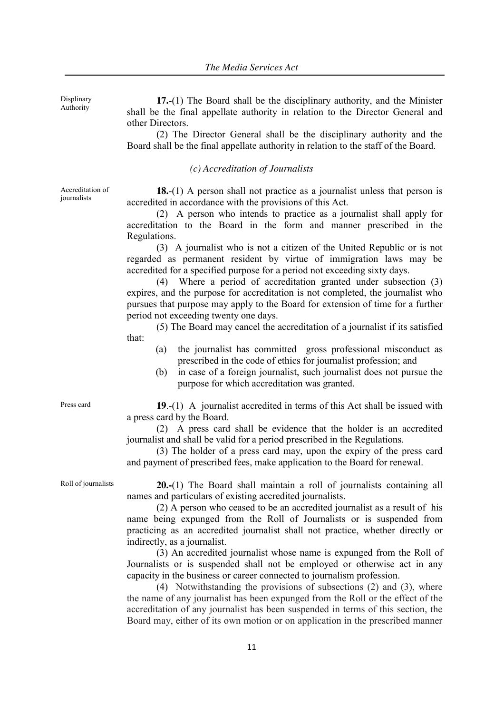**17.**-(1) The Board shall be the disciplinary authority, and the Minister shall be the final appellate authority in relation to the Director General and other Directors.

(2) The Director General shall be the disciplinary authority and the Board shall be the final appellate authority in relation to the staff of the Board.

#### *(c) Accreditation of Journalists*

Accreditation of journalists

Displinary Authority

> **18.**-(1) A person shall not practice as a journalist unless that person is accredited in accordance with the provisions of this Act.

> (2) A person who intends to practice as a journalist shall apply for accreditation to the Board in the form and manner prescribed in the Regulations.

> (3) A journalist who is not a citizen of the United Republic or is not regarded as permanent resident by virtue of immigration laws may be accredited for a specified purpose for a period not exceeding sixty days.

> (4) Where a period of accreditation granted under subsection (3) expires, and the purpose for accreditation is not completed, the journalist who pursues that purpose may apply to the Board for extension of time for a further period not exceeding twenty one days.

> (5) The Board may cancel the accreditation of a journalist if its satisfied that:

- (a) the journalist has committed gross professional misconduct as prescribed in the code of ethics for journalist profession; and
- (b) in case of a foreign journalist, such journalist does not pursue the purpose for which accreditation was granted.

Press card **19**.-(1) A journalist accredited in terms of this Act shall be issued with a press card by the Board.

> (2) A press card shall be evidence that the holder is an accredited journalist and shall be valid for a period prescribed in the Regulations.

> (3) The holder of a press card may, upon the expiry of the press card and payment of prescribed fees, make application to the Board for renewal.

Roll of journalists **20.-**(1) The Board shall maintain a roll of journalists containing all names and particulars of existing accredited journalists.

> (2) A person who ceased to be an accredited journalist as a result of his name being expunged from the Roll of Journalists or is suspended from practicing as an accredited journalist shall not practice, whether directly or indirectly, as a journalist.

> (3) An accredited journalist whose name is expunged from the Roll of Journalists or is suspended shall not be employed or otherwise act in any capacity in the business or career connected to journalism profession.

> (4) Notwithstanding the provisions of subsections (2) and (3), where the name of any journalist has been expunged from the Roll or the effect of the accreditation of any journalist has been suspended in terms of this section, the Board may, either of its own motion or on application in the prescribed manner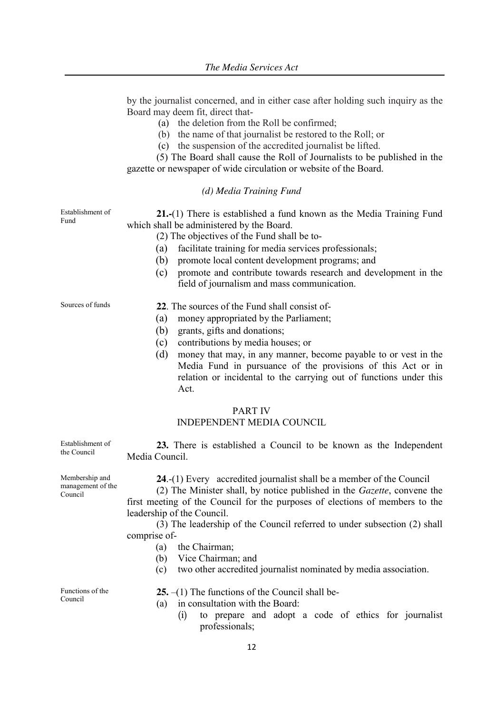by the journalist concerned, and in either case after holding such inquiry as the Board may deem fit, direct that-

- (a) the deletion from the Roll be confirmed;
- (b) the name of that journalist be restored to the Roll; or
- (c) the suspension of the accredited journalist be lifted.

(5) The Board shall cause the Roll of Journalists to be published in the gazette or newspaper of wide circulation or website of the Board.

#### *(d) Media Training Fund*

| Establishment of<br>Fund | 21.-(1) There is established a fund known as the Media Training Fund<br>which shall be administered by the Board.<br>(2) The objectives of the Fund shall be to-<br>facilitate training for media services professionals;<br>(a)<br>promote local content development programs; and<br>(b)<br>promote and contribute towards research and development in the<br>(c)<br>field of journalism and mass communication. |
|--------------------------|--------------------------------------------------------------------------------------------------------------------------------------------------------------------------------------------------------------------------------------------------------------------------------------------------------------------------------------------------------------------------------------------------------------------|
| Sources of funds         | 22. The sources of the Fund shall consist of-<br>(a)<br>money appropriated by the Parliament;<br>(b)<br>grants, gifts and donations;<br>(c)<br>contributions by media houses; or<br>(d)<br>money that may, in any manner, become payable to or vest in the<br>Media Fund in pursuance of the provisions of this Act or in<br>relation or incidental to the carrying out of functions under this<br>Act.            |
|                          | <b>PART IV</b><br><b>INDEPENDENT MEDIA COUNCIL</b>                                                                                                                                                                                                                                                                                                                                                                 |

**23.** There is established a Council to be known as the Independent Media Council.

**24**.-(1) Every accredited journalist shall be a member of the Council

(2) The Minister shall, by notice published in the *Gazette*, convene the first meeting of the Council for the purposes of elections of members to the leadership of the Council.

(3) The leadership of the Council referred to under subsection (2) shall comprise of-

- (a) the Chairman;
- (b) Vice Chairman; and
- (c) two other accredited journalist nominated by media association.

Functions of the Council

Establishment of the Council

Membership and management of the

Council

- **25.** –(1) The functions of the Council shall be-
- (a) in consultation with the Board:
	- (i) to prepare and adopt a code of ethics for journalist professionals;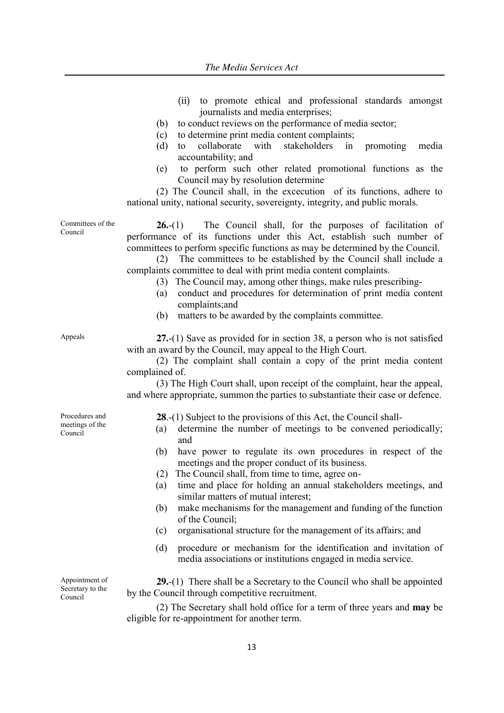- (ii) to promote ethical and professional standards amongst journalists and media enterprises;
- (b) to conduct reviews on the performance of media sector;
- (c) to determine print media content complaints;
- (d) to collaborate with stakeholders in promoting media accountability; and
- (e) to perform such other related promotional functions as the Council may by resolution determine

(2) The Council shall, in the excecution of its functions, adhere to national unity, national security, sovereignty, integrity, and public morals.

Committees of the **26.**-(1)The Council shall, for the purposes of facilitation of performance of its functions under this Act, establish such number of committees to perform specific functions as may be determined by the Council.

> (2) The committees to be established by the Council shall include a complaints committee to deal with print media content complaints.

- (3) The Council may, among other things, make rules prescribing-
- (a) conduct and procedures for determination of print media content complaints;and
- (b) matters to be awarded by the complaints committee.

Council

Appeals **27.**-(1) Save as provided for in section 38, a person who is not satisfied with an award by the Council, may appeal to the High Court.

> (2) The complaint shall contain a copy of the print media content complained of.

> (3) The High Court shall, upon receipt of the complaint, hear the appeal, and where appropriate, summon the parties to substantiate their case or defence.

Procedures and meetings of the Council

- **28**.-(1) Subject to the provisions of this Act, the Council shall-
- (a) determine the number of meetings to be convened periodically; and
- (b) have power to regulate its own procedures in respect of the meetings and the proper conduct of its business.
- (2) The Council shall, from time to time, agree on-
- (a) time and place for holding an annual stakeholders meetings, and similar matters of mutual interest;
- (b) make mechanisms for the management and funding of the function of the Council;
- (c) organisational structure for the management of its affairs; and
- (d) procedure or mechanism for the identification and invitation of media associations or institutions engaged in media service.

Appointment of Secretary to the Council

**29.**-(1) There shall be a Secretary to the Council who shall be appointed by the Council through competitive recruitment.

(2) The Secretary shall hold office for a term of three years and **may** be eligible for re-appointment for another term.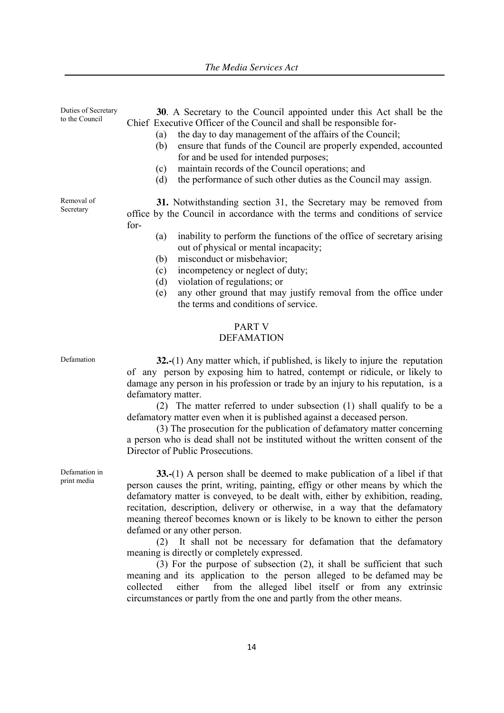Duties of Secretary to the Council **30**. A Secretary to the Council appointed under this Act shall be the Chief Executive Officer of the Council and shall be responsible for- (a) the day to day management of the affairs of the Council; (b) ensure that funds of the Council are properly expended, accounted for and be used for intended purposes; (c) maintain records of the Council operations; and (d) the performance of such other duties as the Council may assign. Removal of Secretary **31.** Notwithstanding section 31, the Secretary may be removed from office by the Council in accordance with the terms and conditions of service for- (a) inability to perform the functions of the office of secretary arising out of physical or mental incapacity;

- (b) misconduct or misbehavior;
- (c) incompetency or neglect of duty;
- (d) violation of regulations; or
- (e) any other ground that may justify removal from the office under the terms and conditions of service.

# PART V

### DEFAMATION

Defamation **32.-**(1) Any matter which, if published, is likely to injure the reputation of any person by exposing him to hatred, contempt or ridicule, or likely to damage any person in his profession or trade by an injury to his reputation, is a defamatory matter.

> (2) The matter referred to under subsection (1) shall qualify to be a defamatory matter even when it is published against a deceased person.

> (3) The prosecution for the publication of defamatory matter concerning a person who is dead shall not be instituted without the written consent of the Director of Public Prosecutions.

Defamation in print media

**33.-**(1) A person shall be deemed to make publication of a libel if that person causes the print, writing, painting, effigy or other means by which the defamatory matter is conveyed, to be dealt with, either by exhibition, reading, recitation, description, delivery or otherwise, in a way that the defamatory meaning thereof becomes known or is likely to be known to either the person defamed or any other person.

(2) It shall not be necessary for defamation that the defamatory meaning is directly or completely expressed.

(3) For the purpose of subsection (2), it shall be sufficient that such meaning and its application to the person alleged to be defamed may be collected either from the alleged libel itself or from any extrinsic circumstances or partly from the one and partly from the other means.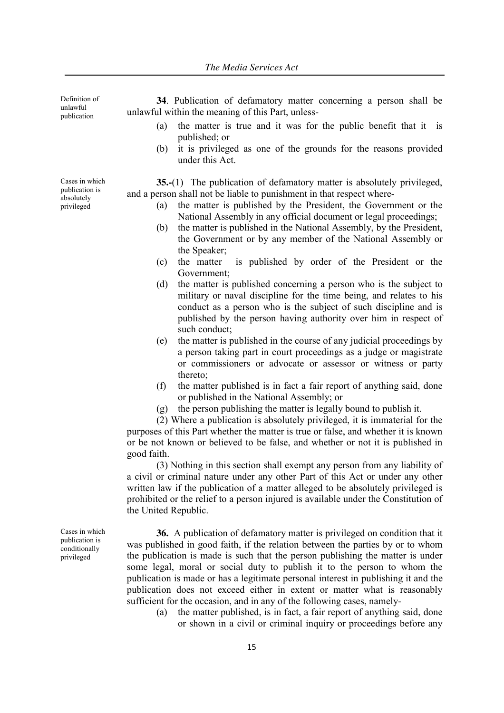Definition of unlawful publication

Cases in which publication is absolutely privileged

**34**. Publication of defamatory matter concerning a person shall be unlawful within the meaning of this Part, unless-

- (a) the matter is true and it was for the public benefit that it is published; or
- (b) it is privileged as one of the grounds for the reasons provided under this Act.

**35.-**(1) The publication of defamatory matter is absolutely privileged, and a person shall not be liable to punishment in that respect where-

- (a) the matter is published by the President, the Government or the National Assembly in any official document or legal proceedings;
- (b) the matter is published in the National Assembly, by the President, the Government or by any member of the National Assembly or the Speaker;
- (c) the matter is published by order of the President or the Government;
- (d) the matter is published concerning a person who is the subject to military or naval discipline for the time being, and relates to his conduct as a person who is the subject of such discipline and is published by the person having authority over him in respect of such conduct;
- (e) the matter is published in the course of any judicial proceedings by a person taking part in court proceedings as a judge or magistrate or commissioners or advocate or assessor or witness or party thereto;
- (f) the matter published is in fact a fair report of anything said, done or published in the National Assembly; or
- (g) the person publishing the matter is legally bound to publish it.

(2) Where a publication is absolutely privileged, it is immaterial for the purposes of this Part whether the matter is true or false, and whether it is known or be not known or believed to be false, and whether or not it is published in good faith.

(3) Nothing in this section shall exempt any person from any liability of a civil or criminal nature under any other Part of this Act or under any other written law if the publication of a matter alleged to be absolutely privileged is prohibited or the relief to a person injured is available under the Constitution of the United Republic.

**36.** A publication of defamatory matter is privileged on condition that it was published in good faith, if the relation between the parties by or to whom the publication is made is such that the person publishing the matter is under some legal, moral or social duty to publish it to the person to whom the publication is made or has a legitimate personal interest in publishing it and the publication does not exceed either in extent or matter what is reasonably sufficient for the occasion, and in any of the following cases, namely-

(a) the matter published, is in fact, a fair report of anything said, done or shown in a civil or criminal inquiry or proceedings before any

Cases in which

publication is conditionally privileged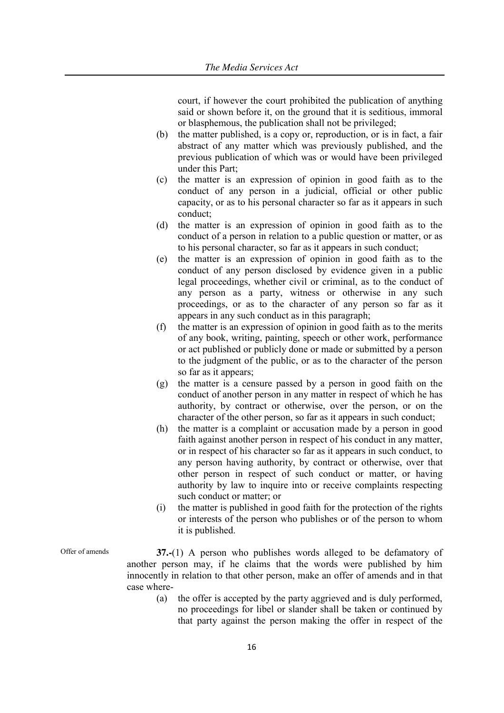court, if however the court prohibited the publication of anything said or shown before it, on the ground that it is seditious, immoral or blasphemous, the publication shall not be privileged;

- (b) the matter published, is a copy or, reproduction, or is in fact, a fair abstract of any matter which was previously published, and the previous publication of which was or would have been privileged under this Part;
- (c) the matter is an expression of opinion in good faith as to the conduct of any person in a judicial, official or other public capacity, or as to his personal character so far as it appears in such conduct;
- (d) the matter is an expression of opinion in good faith as to the conduct of a person in relation to a public question or matter, or as to his personal character, so far as it appears in such conduct;
- (e) the matter is an expression of opinion in good faith as to the conduct of any person disclosed by evidence given in a public legal proceedings, whether civil or criminal, as to the conduct of any person as a party, witness or otherwise in any such proceedings, or as to the character of any person so far as it appears in any such conduct as in this paragraph;
- (f) the matter is an expression of opinion in good faith as to the merits of any book, writing, painting, speech or other work, performance or act published or publicly done or made or submitted by a person to the judgment of the public, or as to the character of the person so far as it appears;
- (g) the matter is a censure passed by a person in good faith on the conduct of another person in any matter in respect of which he has authority, by contract or otherwise, over the person, or on the character of the other person, so far as it appears in such conduct;
- (h) the matter is a complaint or accusation made by a person in good faith against another person in respect of his conduct in any matter, or in respect of his character so far as it appears in such conduct, to any person having authority, by contract or otherwise, over that other person in respect of such conduct or matter, or having authority by law to inquire into or receive complaints respecting such conduct or matter; or
- (i) the matter is published in good faith for the protection of the rights or interests of the person who publishes or of the person to whom it is published.

- Offer of amends **37.-**(1) A person who publishes words alleged to be defamatory of another person may, if he claims that the words were published by him innocently in relation to that other person, make an offer of amends and in that case where-
	- (a) the offer is accepted by the party aggrieved and is duly performed, no proceedings for libel or slander shall be taken or continued by that party against the person making the offer in respect of the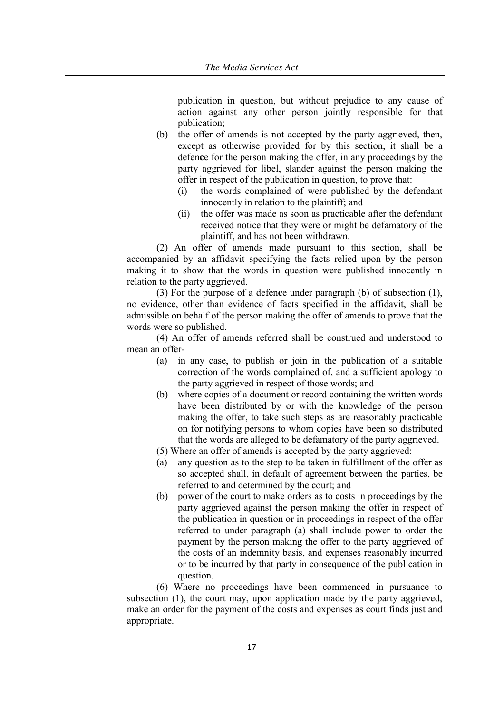publication in question, but without prejudice to any cause of action against any other person jointly responsible for that publication;

- (b) the offer of amends is not accepted by the party aggrieved, then, except as otherwise provided for by this section, it shall be a defen**c**e for the person making the offer, in any proceedings by the party aggrieved for libel, slander against the person making the offer in respect of the publication in question, to prove that:
	- (i) the words complained of were published by the defendant innocently in relation to the plaintiff; and
	- (ii) the offer was made as soon as practicable after the defendant received notice that they were or might be defamatory of the plaintiff, and has not been withdrawn.

(2) An offer of amends made pursuant to this section, shall be accompanied by an affidavit specifying the facts relied upon by the person making it to show that the words in question were published innocently in relation to the party aggrieved.

(3) For the purpose of a defen**c**e under paragraph (b) of subsection (1), no evidence, other than evidence of facts specified in the affidavit, shall be admissible on behalf of the person making the offer of amends to prove that the words were so published.

(4) An offer of amends referred shall be construed and understood to mean an offer-

- (a) in any case, to publish or join in the publication of a suitable correction of the words complained of, and a sufficient apology to the party aggrieved in respect of those words; and
- (b) where copies of a document or record containing the written words have been distributed by or with the knowledge of the person making the offer, to take such steps as are reasonably practicable on for notifying persons to whom copies have been so distributed that the words are alleged to be defamatory of the party aggrieved.
- (5) Where an offer of amends is accepted by the party aggrieved:
- (a) any question as to the step to be taken in fulfillment of the offer as so accepted shall, in default of agreement between the parties, be referred to and determined by the court; and
- (b) power of the court to make orders as to costs in proceedings by the party aggrieved against the person making the offer in respect of the publication in question or in proceedings in respect of the offer referred to under paragraph (a) shall include power to order the payment by the person making the offer to the party aggrieved of the costs of an indemnity basis, and expenses reasonably incurred or to be incurred by that party in consequence of the publication in question.

(6) Where no proceedings have been commenced in pursuance to subsection (1), the court may, upon application made by the party aggrieved, make an order for the payment of the costs and expenses as court finds just and appropriate.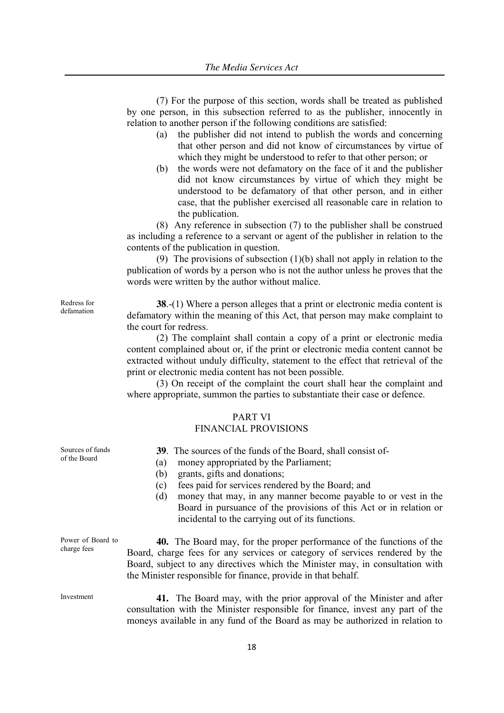(7) For the purpose of this section, words shall be treated as published by one person, in this subsection referred to as the publisher, innocently in relation to another person if the following conditions are satisfied:

- (a) the publisher did not intend to publish the words and concerning that other person and did not know of circumstances by virtue of which they might be understood to refer to that other person; or
- (b) the words were not defamatory on the face of it and the publisher did not know circumstances by virtue of which they might be understood to be defamatory of that other person, and in either case, that the publisher exercised all reasonable care in relation to the publication.

(8) Any reference in subsection (7) to the publisher shall be construed as including a reference to a servant or agent of the publisher in relation to the contents of the publication in question.

(9) The provisions of subsection (1)(b) shall not apply in relation to the publication of words by a person who is not the author unless he proves that the words were written by the author without malice.

**38**.-(1) Where a person alleges that a print or electronic media content is defamatory within the meaning of this Act, that person may make complaint to the court for redress.

(2) The complaint shall contain a copy of a print or electronic media content complained about or, if the print or electronic media content cannot be extracted without unduly difficulty, statement to the effect that retrieval of the print or electronic media content has not been possible.

(3) On receipt of the complaint the court shall hear the complaint and where appropriate, summon the parties to substantiate their case or defence.

# PART VI

### FINANCIAL PROVISIONS

**39**. The sources of the funds of the Board, shall consist of-

- (a) money appropriated by the Parliament;
- (b) grants, gifts and donations;
- (c) fees paid for services rendered by the Board; and
- (d) money that may, in any manner become payable to or vest in the Board in pursuance of the provisions of this Act or in relation or incidental to the carrying out of its functions.

Power of Board to charge fees

Sources of funds of the Board

> **40.** The Board may, for the proper performance of the functions of the Board, charge fees for any services or category of services rendered by the Board, subject to any directives which the Minister may, in consultation with the Minister responsible for finance, provide in that behalf.

Investment **41.** The Board may, with the prior approval of the Minister and after consultation with the Minister responsible for finance, invest any part of the moneys available in any fund of the Board as may be authorized in relation to

Redress for defamation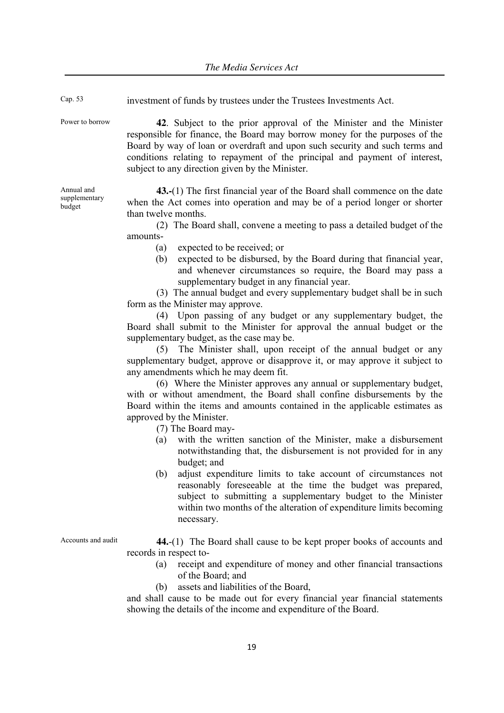| Cap. 53                               | investment of funds by trustees under the Trustees Investments Act.                                                                                                                                                                                                                                                                                               |
|---------------------------------------|-------------------------------------------------------------------------------------------------------------------------------------------------------------------------------------------------------------------------------------------------------------------------------------------------------------------------------------------------------------------|
| Power to borrow                       | 42. Subject to the prior approval of the Minister and the Minister<br>responsible for finance, the Board may borrow money for the purposes of the<br>Board by way of loan or overdraft and upon such security and such terms and<br>conditions relating to repayment of the principal and payment of interest,<br>subject to any direction given by the Minister. |
| Annual and<br>supplementary<br>budget | 43.-(1) The first financial year of the Board shall commence on the date<br>when the Act comes into operation and may be of a period longer or shorter<br>than twelve months.                                                                                                                                                                                     |
|                                       | (2) The Board shall, convene a meeting to pass a detailed budget of the<br>amounts-                                                                                                                                                                                                                                                                               |
|                                       | expected to be received; or<br>(a)                                                                                                                                                                                                                                                                                                                                |
|                                       | expected to be disbursed, by the Board during that financial year,<br>(b)<br>and whenever circumstances so require, the Board may pass a<br>supplementary budget in any financial year.                                                                                                                                                                           |
|                                       | (3) The annual budget and every supplementary budget shall be in such<br>form as the Minister may approve.                                                                                                                                                                                                                                                        |
|                                       | (4) Upon passing of any budget or any supplementary budget, the<br>Board shall submit to the Minister for approval the annual budget or the                                                                                                                                                                                                                       |
|                                       | supplementary budget, as the case may be.                                                                                                                                                                                                                                                                                                                         |
|                                       | The Minister shall, upon receipt of the annual budget or any<br>(5)                                                                                                                                                                                                                                                                                               |
|                                       | supplementary budget, approve or disapprove it, or may approve it subject to                                                                                                                                                                                                                                                                                      |
|                                       | any amendments which he may deem fit.                                                                                                                                                                                                                                                                                                                             |
|                                       | (6) Where the Minister approves any annual or supplementary budget,<br>with or without amendment, the Board shall confine disbursements by the                                                                                                                                                                                                                    |
|                                       | Board within the items and amounts contained in the applicable estimates as                                                                                                                                                                                                                                                                                       |
|                                       | approved by the Minister.                                                                                                                                                                                                                                                                                                                                         |
|                                       | (7) The Board may-                                                                                                                                                                                                                                                                                                                                                |

- (a) with the written sanction of the Minister, make a disbursement notwithstanding that, the disbursement is not provided for in any budget; and
- (b) adjust expenditure limits to take account of circumstances not reasonably foreseeable at the time the budget was prepared, subject to submitting a supplementary budget to the Minister within two months of the alteration of expenditure limits becoming necessary.

Accounts and audit **44.**-(1) The Board shall cause to be kept proper books of accounts and records in respect to-

- (a) receipt and expenditure of money and other financial transactions of the Board; and
- (b) assets and liabilities of the Board,

19

and shall cause to be made out for every financial year financial statements showing the details of the income and expenditure of the Board.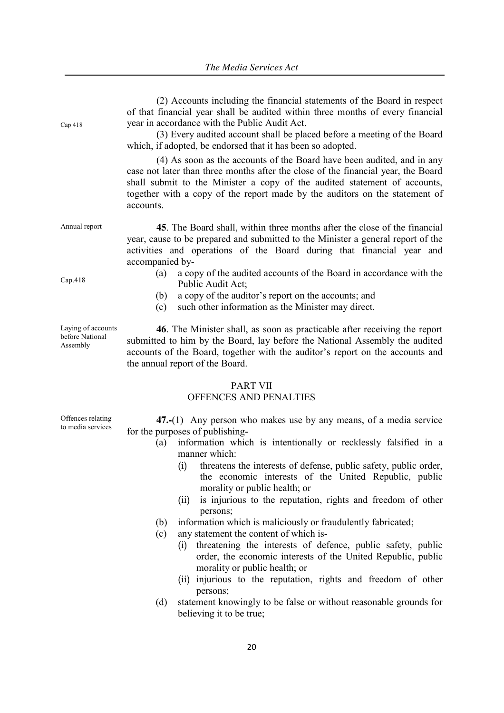| Cap 418                                           | (2) Accounts including the financial statements of the Board in respect<br>of that financial year shall be audited within three months of every financial<br>year in accordance with the Public Audit Act.<br>(3) Every audited account shall be placed before a meeting of the Board<br>which, if adopted, be endorsed that it has been so adopted.<br>(4) As soon as the accounts of the Board have been audited, and in any<br>case not later than three months after the close of the financial year, the Board<br>shall submit to the Minister a copy of the audited statement of accounts,<br>together with a copy of the report made by the auditors on the statement of<br>accounts.                                                                                                                                           |
|---------------------------------------------------|----------------------------------------------------------------------------------------------------------------------------------------------------------------------------------------------------------------------------------------------------------------------------------------------------------------------------------------------------------------------------------------------------------------------------------------------------------------------------------------------------------------------------------------------------------------------------------------------------------------------------------------------------------------------------------------------------------------------------------------------------------------------------------------------------------------------------------------|
| Annual report                                     | 45. The Board shall, within three months after the close of the financial<br>year, cause to be prepared and submitted to the Minister a general report of the<br>activities and operations of the Board during that financial year and<br>accompanied by-                                                                                                                                                                                                                                                                                                                                                                                                                                                                                                                                                                              |
| Cap.418                                           | a copy of the audited accounts of the Board in accordance with the<br>(a)<br>Public Audit Act;<br>a copy of the auditor's report on the accounts; and<br>(b)<br>such other information as the Minister may direct.<br>(c)                                                                                                                                                                                                                                                                                                                                                                                                                                                                                                                                                                                                              |
| Laying of accounts<br>before National<br>Assembly | 46. The Minister shall, as soon as practicable after receiving the report<br>submitted to him by the Board, lay before the National Assembly the audited<br>accounts of the Board, together with the auditor's report on the accounts and<br>the annual report of the Board.                                                                                                                                                                                                                                                                                                                                                                                                                                                                                                                                                           |
|                                                   | <b>PART VII</b><br>OFFENCES AND PENALTIES                                                                                                                                                                                                                                                                                                                                                                                                                                                                                                                                                                                                                                                                                                                                                                                              |
| Offences relating<br>to media services            | 47.-(1) Any person who makes use by any means, of a media service<br>for the purposes of publishing-<br>information which is intentionally or recklessly falsified in a<br>(a)<br>manner which:<br>threatens the interests of defense, public safety, public order,<br>(i)<br>the economic interests of the United Republic, public<br>morality or public health; or<br>is injurious to the reputation, rights and freedom of other<br>(ii)<br>persons;<br>information which is maliciously or fraudulently fabricated;<br>(b)<br>any statement the content of which is-<br>(c)<br>threatening the interests of defence, public safety, public<br>(i)<br>order, the economic interests of the United Republic, public<br>morality or public health; or<br>injurious to the reputation, rights and freedom of other<br>(ii)<br>persons; |
|                                                   |                                                                                                                                                                                                                                                                                                                                                                                                                                                                                                                                                                                                                                                                                                                                                                                                                                        |

(d) statement knowingly to be false or without reasonable grounds for believing it to be true;

20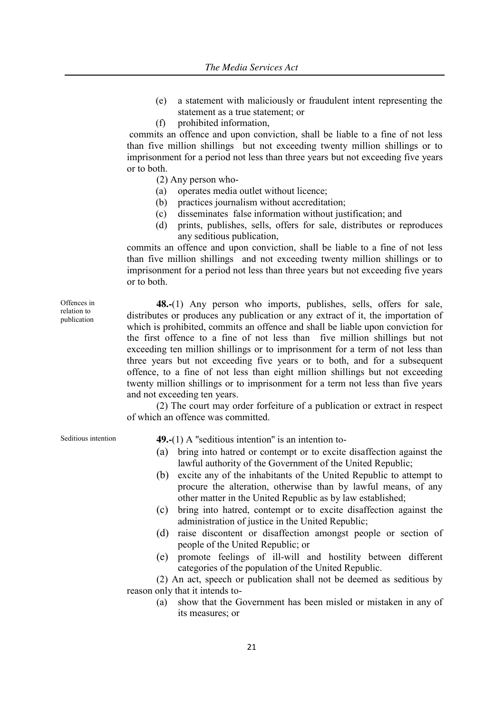- (e) a statement with maliciously or fraudulent intent representing the statement as a true statement; or
- (f) prohibited information,

commits an offence and upon conviction, shall be liable to a fine of not less than five million shillings but not exceeding twenty million shillings or to imprisonment for a period not less than three years but not exceeding five years or to both.

(2) Any person who-

- (a) operates media outlet without licence;
- (b) practices journalism without accreditation;
- (c) disseminates false information without justification; and
- (d) prints, publishes, sells, offers for sale, distributes or reproduces any seditious publication,

commits an offence and upon conviction, shall be liable to a fine of not less than five million shillings and not exceeding twenty million shillings or to imprisonment for a period not less than three years but not exceeding five years or to both.

**48.-**(1) Any person who imports, publishes, sells, offers for sale, distributes or produces any publication or any extract of it, the importation of which is prohibited, commits an offence and shall be liable upon conviction for the first offence to a fine of not less than five million shillings but not exceeding ten million shillings or to imprisonment for a term of not less than three years but not exceeding five years or to both, and for a subsequent offence, to a fine of not less than eight million shillings but not exceeding twenty million shillings or to imprisonment for a term not less than five years and not exceeding ten years.

(2) The court may order forfeiture of a publication or extract in respect of which an offence was committed.

Offences in relation to publication

# Seditious intention **49.-**(1) A "seditious intention" is an intention to-

- (a) bring into hatred or contempt or to excite disaffection against the lawful authority of the Government of the United Republic;
- (b) excite any of the inhabitants of the United Republic to attempt to procure the alteration, otherwise than by lawful means, of any other matter in the United Republic as by law established;
- (c) bring into hatred, contempt or to excite disaffection against the administration of justice in the United Republic;
- (d) raise discontent or disaffection amongst people or section of people of the United Republic; or
- (e) promote feelings of ill-will and hostility between different categories of the population of the United Republic.

(2) An act, speech or publication shall not be deemed as seditious by reason only that it intends to-

(a) show that the Government has been misled or mistaken in any of its measures; or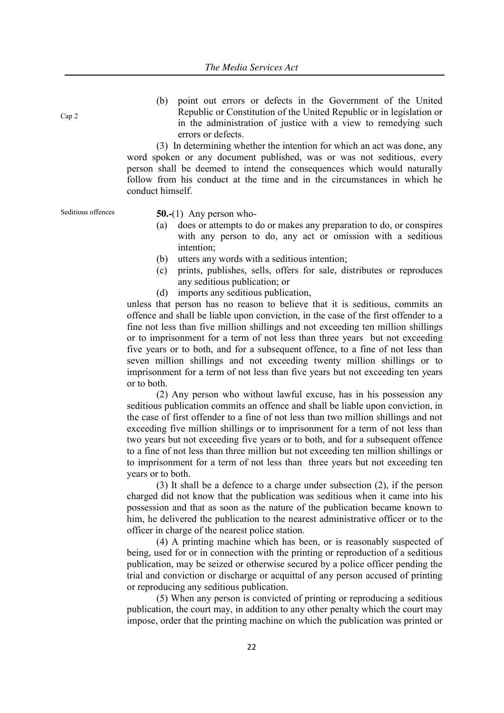Cap 2

(b) point out errors or defects in the Government of the United Republic or Constitution of the United Republic or in legislation or in the administration of justice with a view to remedying such errors or defects.

(3) In determining whether the intention for which an act was done, any word spoken or any document published, was or was not seditious, every person shall be deemed to intend the consequences which would naturally follow from his conduct at the time and in the circumstances in which he conduct himself.

Seditious offences **50.-**(1) Any person who-

- (a) does or attempts to do or makes any preparation to do, or conspires with any person to do, any act or omission with a seditious intention;
- (b) utters any words with a seditious intention;
- (c) prints, publishes, sells, offers for sale, distributes or reproduces any seditious publication; or
- (d) imports any seditious publication,

unless that person has no reason to believe that it is seditious, commits an offence and shall be liable upon conviction, in the case of the first offender to a fine not less than five million shillings and not exceeding ten million shillings or to imprisonment for a term of not less than three years but not exceeding five years or to both, and for a subsequent offence, to a fine of not less than seven million shillings and not exceeding twenty million shillings or to imprisonment for a term of not less than five years but not exceeding ten years or to both.

(2) Any person who without lawful excuse, has in his possession any seditious publication commits an offence and shall be liable upon conviction, in the case of first offender to a fine of not less than two million shillings and not exceeding five million shillings or to imprisonment for a term of not less than two years but not exceeding five years or to both, and for a subsequent offence to a fine of not less than three million but not exceeding ten million shillings or to imprisonment for a term of not less than three years but not exceeding ten years or to both.

(3) It shall be a defence to a charge under subsection (2), if the person charged did not know that the publication was seditious when it came into his possession and that as soon as the nature of the publication became known to him, he delivered the publication to the nearest administrative officer or to the officer in charge of the nearest police station.

(4) A printing machine which has been, or is reasonably suspected of being, used for or in connection with the printing or reproduction of a seditious publication, may be seized or otherwise secured by a police officer pending the trial and conviction or discharge or acquittal of any person accused of printing or reproducing any seditious publication.

(5) When any person is convicted of printing or reproducing a seditious publication, the court may, in addition to any other penalty which the court may impose, order that the printing machine on which the publication was printed or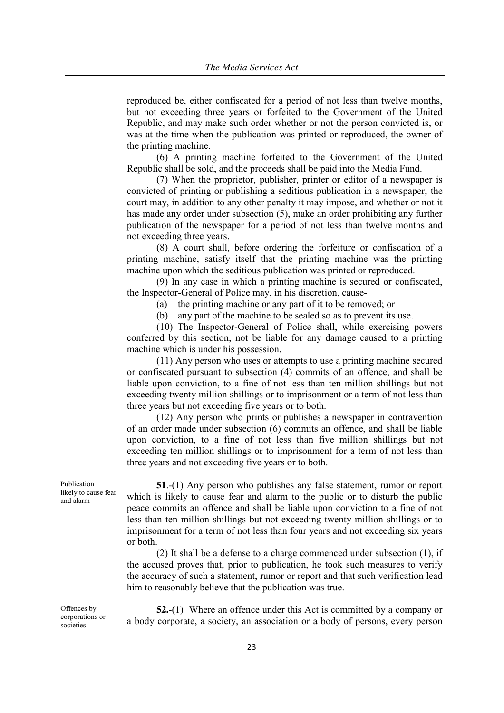reproduced be, either confiscated for a period of not less than twelve months, but not exceeding three years or forfeited to the Government of the United Republic, and may make such order whether or not the person convicted is, or was at the time when the publication was printed or reproduced, the owner of the printing machine.

(6) A printing machine forfeited to the Government of the United Republic shall be sold, and the proceeds shall be paid into the Media Fund.

(7) When the proprietor, publisher, printer or editor of a newspaper is convicted of printing or publishing a seditious publication in a newspaper, the court may, in addition to any other penalty it may impose, and whether or not it has made any order under subsection (5), make an order prohibiting any further publication of the newspaper for a period of not less than twelve months and not exceeding three years.

(8) A court shall, before ordering the forfeiture or confiscation of a printing machine, satisfy itself that the printing machine was the printing machine upon which the seditious publication was printed or reproduced.

(9) In any case in which a printing machine is secured or confiscated, the Inspector-General of Police may, in his discretion, cause-

(a) the printing machine or any part of it to be removed; or

(b) any part of the machine to be sealed so as to prevent its use.

(10) The Inspector-General of Police shall, while exercising powers conferred by this section, not be liable for any damage caused to a printing machine which is under his possession.

(11) Any person who uses or attempts to use a printing machine secured or confiscated pursuant to subsection (4) commits of an offence, and shall be liable upon conviction, to a fine of not less than ten million shillings but not exceeding twenty million shillings or to imprisonment or a term of not less than three years but not exceeding five years or to both.

(12) Any person who prints or publishes a newspaper in contravention of an order made under subsection (6) commits an offence, and shall be liable upon conviction, to a fine of not less than five million shillings but not exceeding ten million shillings or to imprisonment for a term of not less than three years and not exceeding five years or to both.

**51.-(1)** Any person who publishes any false statement, rumor or report which is likely to cause fear and alarm to the public or to disturb the public peace commits an offence and shall be liable upon conviction to a fine of not less than ten million shillings but not exceeding twenty million shillings or to imprisonment for a term of not less than four years and not exceeding six years or both.

(2) It shall be a defense to a charge commenced under subsection (1), if the accused proves that, prior to publication, he took such measures to verify the accuracy of such a statement, rumor or report and that such verification lead him to reasonably believe that the publication was true.

Offences by corporations or societies

**52.-**(1) Where an offence under this Act is committed by a company or a body corporate, a society, an association or a body of persons, every person

Publication likely to cause fear and alarm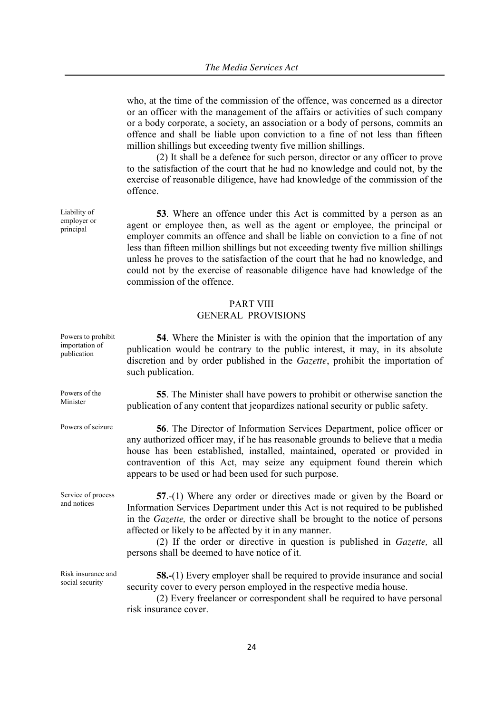who, at the time of the commission of the offence, was concerned as a director or an officer with the management of the affairs or activities of such company or a body corporate, a society, an association or a body of persons, commits an offence and shall be liable upon conviction to a fine of not less than fifteen million shillings but exceeding twenty five million shillings.

(2) It shall be a defen**c**e for such person, director or any officer to prove to the satisfaction of the court that he had no knowledge and could not, by the exercise of reasonable diligence, have had knowledge of the commission of the offence.

**53**. Where an offence under this Act is committed by a person as an agent or employee then, as well as the agent or employee, the principal or employer commits an offence and shall be liable on conviction to a fine of not less than fifteen million shillings but not exceeding twenty five million shillings unless he proves to the satisfaction of the court that he had no knowledge, and could not by the exercise of reasonable diligence have had knowledge of the commission of the offence.

# PART VIII

# GENERAL PROVISIONS

| Powers to prohibit<br>importation of<br>publication | <b>54</b> . Where the Minister is with the opinion that the importation of any<br>publication would be contrary to the public interest, it may, in its absolute<br>discretion and by order published in the <i>Gazette</i> , prohibit the importation of<br>such publication.                                                                                                                                                                   |
|-----------------------------------------------------|-------------------------------------------------------------------------------------------------------------------------------------------------------------------------------------------------------------------------------------------------------------------------------------------------------------------------------------------------------------------------------------------------------------------------------------------------|
| Powers of the<br>Minister                           | 55. The Minister shall have powers to prohibit or otherwise sanction the<br>publication of any content that jeopardizes national security or public safety.                                                                                                                                                                                                                                                                                     |
| Powers of seizure                                   | <b>56</b> . The Director of Information Services Department, police officer or<br>any authorized officer may, if he has reasonable grounds to believe that a media<br>house has been established, installed, maintained, operated or provided in<br>contravention of this Act, may seize any equipment found therein which<br>appears to be used or had been used for such purpose.                                                             |
| Service of process<br>and notices                   | $57-(1)$ Where any order or directives made or given by the Board or<br>Information Services Department under this Act is not required to be published<br>in the <i>Gazette</i> , the order or directive shall be brought to the notice of persons<br>affected or likely to be affected by it in any manner.<br>(2) If the order or directive in question is published in <i>Gazette</i> , all<br>persons shall be deemed to have notice of it. |
| Risk insurance and<br>social security               | <b>58.-</b> (1) Every employer shall be required to provide insurance and social<br>security cover to every person employed in the respective media house.<br>(2) Every freelancer or correspondent shall be required to have personal<br>risk insurance cover.                                                                                                                                                                                 |

Liability of employer or principal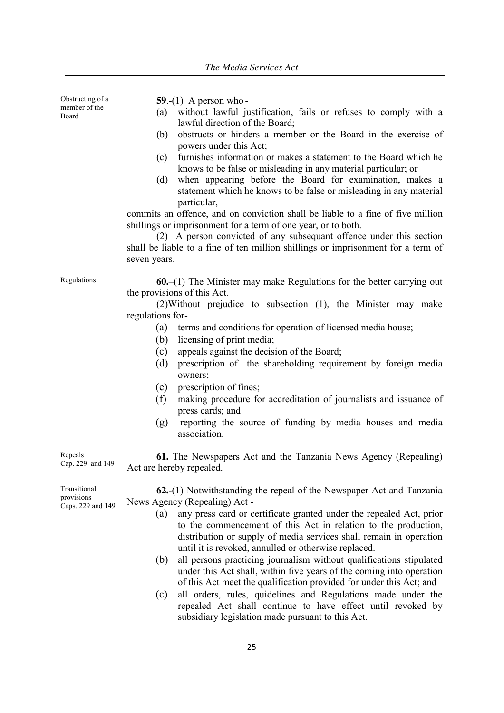Obstructing of a member of the Board **59**.-(1) A person who **-** (a) without lawful justification, fails or refuses to comply with a

- lawful direction of the Board; (b) obstructs or hinders a member or the Board in the exercise of powers under this Act;
- (c) furnishes information or makes a statement to the Board which he knows to be false or misleading in any material particular; or
- (d) when appearing before the Board for examination, makes a statement which he knows to be false or misleading in any material particular,

commits an offence, and on conviction shall be liable to a fine of five million shillings or imprisonment for a term of one year, or to both.

(2) A person convicted of any subsequant offence under this section shall be liable to a fine of ten million shillings or imprisonment for a term of seven years.

Regulations **60.**–(1) The Minister may make Regulations for the better carrying out the provisions of this Act.

> (2)Without prejudice to subsection (1), the Minister may make regulations for-

- (a) terms and conditions for operation of licensed media house;
- (b) licensing of print media;
- (c) appeals against the decision of the Board;
- (d) prescription of the shareholding requirement by foreign media owners;
- (e) prescription of fines;
- (f) making procedure for accreditation of journalists and issuance of press cards; and
- (g) reporting the source of funding by media houses and media association.

Cap. 229 and 149 **61.** The Newspapers Act and the Tanzania News Agency (Repealing) Act are hereby repealed.

Transitional provisions Caps. 229 and 149

Repeals

**62.-**(1) Notwithstanding the repeal of the Newspaper Act and Tanzania News Agency (Repealing) Act -

- (a) any press card or certificate granted under the repealed Act, prior to the commencement of this Act in relation to the production, distribution or supply of media services shall remain in operation until it is revoked, annulled or otherwise replaced.
- (b) all persons practicing journalism without qualifications stipulated under this Act shall, within five years of the coming into operation of this Act meet the qualification provided for under this Act; and
- (c) all orders, rules, quidelines and Regulations made under the repealed Act shall continue to have effect until revoked by subsidiary legislation made pursuant to this Act.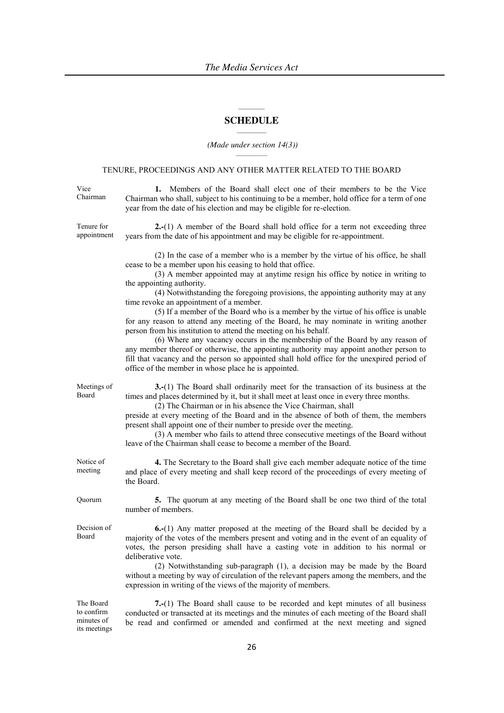#### $\mathcal{L}=\mathcal{L}$ **SCHEDULE**  $\mathcal{L}_\text{max}$

#### *(Made under section 14(3))*  $\mathcal{L}_\text{max}$

# TENURE, PROCEEDINGS AND ANY OTHER MATTER RELATED TO THE BOARD

| Vice<br>Chairman                                      | 1. Members of the Board shall elect one of their members to be the Vice<br>Chairman who shall, subject to his continuing to be a member, hold office for a term of one<br>year from the date of his election and may be eligible for re-election.                                                                                                                                                                                                                                                                                                                                                                                                                                                                                                                                                                                                                                                                                                                                    |
|-------------------------------------------------------|--------------------------------------------------------------------------------------------------------------------------------------------------------------------------------------------------------------------------------------------------------------------------------------------------------------------------------------------------------------------------------------------------------------------------------------------------------------------------------------------------------------------------------------------------------------------------------------------------------------------------------------------------------------------------------------------------------------------------------------------------------------------------------------------------------------------------------------------------------------------------------------------------------------------------------------------------------------------------------------|
| Tenure for<br>appointment                             | 2.-(1) A member of the Board shall hold office for a term not exceeding three<br>years from the date of his appointment and may be eligible for re-appointment.                                                                                                                                                                                                                                                                                                                                                                                                                                                                                                                                                                                                                                                                                                                                                                                                                      |
|                                                       | (2) In the case of a member who is a member by the virtue of his office, he shall<br>cease to be a member upon his ceasing to hold that office.<br>(3) A member appointed may at anytime resign his office by notice in writing to<br>the appointing authority.<br>(4) Notwithstanding the foregoing provisions, the appointing authority may at any<br>time revoke an appointment of a member.<br>(5) If a member of the Board who is a member by the virtue of his office is unable<br>for any reason to attend any meeting of the Board, he may nominate in writing another<br>person from his institution to attend the meeting on his behalf.<br>(6) Where any vacancy occurs in the membership of the Board by any reason of<br>any member thereof or otherwise, the appointing authority may appoint another person to<br>fill that vacancy and the person so appointed shall hold office for the unexpired period of<br>office of the member in whose place he is appointed. |
| Meetings of<br>Board                                  | 3.-(1) The Board shall ordinarily meet for the transaction of its business at the<br>times and places determined by it, but it shall meet at least once in every three months.<br>(2) The Chairman or in his absence the Vice Chairman, shall<br>preside at every meeting of the Board and in the absence of both of them, the members<br>present shall appoint one of their number to preside over the meeting.<br>(3) A member who fails to attend three consecutive meetings of the Board without<br>leave of the Chairman shall cease to become a member of the Board.                                                                                                                                                                                                                                                                                                                                                                                                           |
| Notice of<br>meeting                                  | 4. The Secretary to the Board shall give each member adequate notice of the time<br>and place of every meeting and shall keep record of the proceedings of every meeting of<br>the Board.                                                                                                                                                                                                                                                                                                                                                                                                                                                                                                                                                                                                                                                                                                                                                                                            |
| Quorum                                                | 5. The quorum at any meeting of the Board shall be one two third of the total<br>number of members.                                                                                                                                                                                                                                                                                                                                                                                                                                                                                                                                                                                                                                                                                                                                                                                                                                                                                  |
| Decision of<br>Board                                  | 6.-(1) Any matter proposed at the meeting of the Board shall be decided by a<br>majority of the votes of the members present and voting and in the event of an equality of<br>votes, the person presiding shall have a casting vote in addition to his normal or<br>deliberative vote.<br>(2) Notwithstanding sub-paragraph (1), a decision may be made by the Board<br>without a meeting by way of circulation of the relevant papers among the members, and the<br>expression in writing of the views of the majority of members.                                                                                                                                                                                                                                                                                                                                                                                                                                                  |
| The Board<br>to confirm<br>minutes of<br>its meetings | 7.-(1) The Board shall cause to be recorded and kept minutes of all business<br>conducted or transacted at its meetings and the minutes of each meeting of the Board shall<br>be read and confirmed or amended and confirmed at the next meeting and signed                                                                                                                                                                                                                                                                                                                                                                                                                                                                                                                                                                                                                                                                                                                          |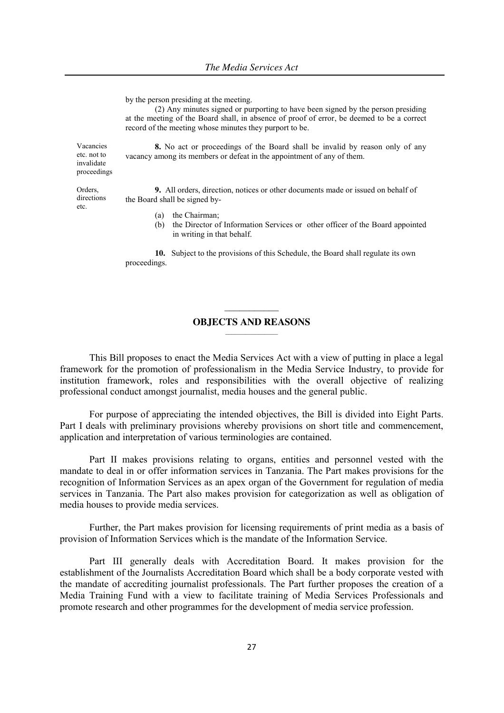by the person presiding at the meeting.

(2) Any minutes signed or purporting to have been signed by the person presiding at the meeting of the Board shall, in absence of proof of error, be deemed to be a correct record of the meeting whose minutes they purport to be.

**8.** No act or proceedings of the Board shall be invalid by reason only of any vacancy among its members or defeat in the appointment of any of them.

**9.** All orders, direction, notices or other documents made or issued on behalf of the Board shall be signed by-

- (a) the Chairman;
- (b) the Director of Information Services or other officer of the Board appointed in writing in that behalf.

**10.** Subject to the provisions of this Schedule, the Board shall regulate its own proceedings.

# $\frac{1}{2}$ **OBJECTS AND REASONS**   $\mathcal{L}_\text{max}$

This Bill proposes to enact the Media Services Act with a view of putting in place a legal framework for the promotion of professionalism in the Media Service Industry, to provide for institution framework, roles and responsibilities with the overall objective of realizing professional conduct amongst journalist, media houses and the general public.

For purpose of appreciating the intended objectives, the Bill is divided into Eight Parts. Part I deals with preliminary provisions whereby provisions on short title and commencement, application and interpretation of various terminologies are contained.

Part II makes provisions relating to organs, entities and personnel vested with the mandate to deal in or offer information services in Tanzania. The Part makes provisions for the recognition of Information Services as an apex organ of the Government for regulation of media services in Tanzania. The Part also makes provision for categorization as well as obligation of media houses to provide media services.

Further, the Part makes provision for licensing requirements of print media as a basis of provision of Information Services which is the mandate of the Information Service.

Part III generally deals with Accreditation Board. It makes provision for the establishment of the Journalists Accreditation Board which shall be a body corporate vested with the mandate of accrediting journalist professionals. The Part further proposes the creation of a Media Training Fund with a view to facilitate training of Media Services Professionals and promote research and other programmes for the development of media service profession.

Orders, directions etc.

Vacancies etc. not to invalidate proceedings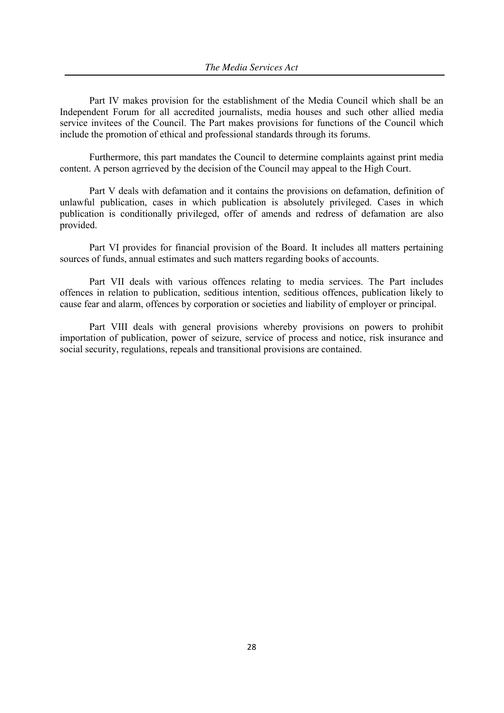Part IV makes provision for the establishment of the Media Council which shall be an Independent Forum for all accredited journalists, media houses and such other allied media service invitees of the Council. The Part makes provisions for functions of the Council which include the promotion of ethical and professional standards through its forums.

Furthermore, this part mandates the Council to determine complaints against print media content. A person agrrieved by the decision of the Council may appeal to the High Court.

Part V deals with defamation and it contains the provisions on defamation, definition of unlawful publication, cases in which publication is absolutely privileged. Cases in which publication is conditionally privileged, offer of amends and redress of defamation are also provided.

Part VI provides for financial provision of the Board. It includes all matters pertaining sources of funds, annual estimates and such matters regarding books of accounts.

Part VII deals with various offences relating to media services. The Part includes offences in relation to publication, seditious intention, seditious offences, publication likely to cause fear and alarm, offences by corporation or societies and liability of employer or principal.

Part VIII deals with general provisions whereby provisions on powers to prohibit importation of publication, power of seizure, service of process and notice, risk insurance and social security, regulations, repeals and transitional provisions are contained.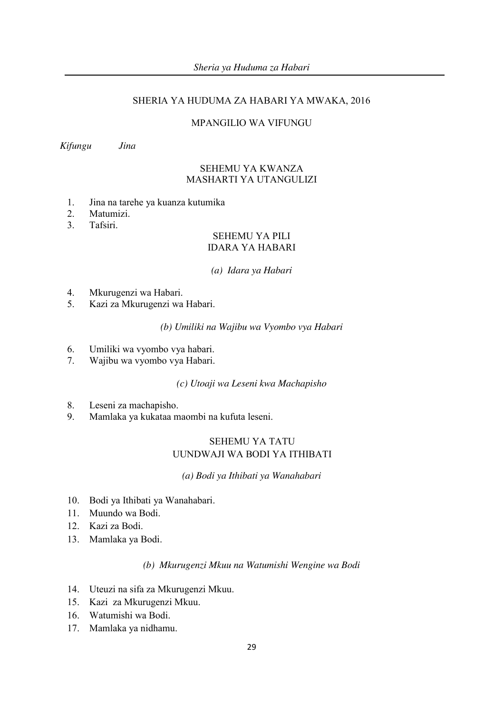# SHERIA YA HUDUMA ZA HABARI YA MWAKA, 2016

# MPANGILIO WA VIFUNGU

*Kifungu Jina*

# SEHEMU YA KWANZA MASHARTI YA UTANGULIZI

- 1. Jina na tarehe ya kuanza kutumika
- 2. Matumizi.
- 3. Tafsiri.

# SEHEMU YA PILI IDARA YA HABARI

#### *(a) Idara ya Habari*

- 4. Mkurugenzi wa Habari.
- 5. Kazi za Mkurugenzi wa Habari.

# *(b) Umiliki na Wajibu wa Vyombo vya Habari*

- 6. Umiliki wa vyombo vya habari.
- 7. Wajibu wa vyombo vya Habari.

# *(c) Utoaji wa Leseni kwa Machapisho*

- 8. Leseni za machapisho.
- 9. Mamlaka ya kukataa maombi na kufuta leseni.

# SEHEMU YA TATU UUNDWAJI WA BODI YA ITHIBATI

*(a) Bodi ya Ithibati ya Wanahabari*

- 10. Bodi ya Ithibati ya Wanahabari.
- 11. Muundo wa Bodi.
- 12. Kazi za Bodi.
- 13. Mamlaka ya Bodi.

### *(b) Mkurugenzi Mkuu na Watumishi Wengine wa Bodi*

- 14. Uteuzi na sifa za Mkurugenzi Mkuu.
- 15. Kazi za Mkurugenzi Mkuu.
- 16. Watumishi wa Bodi.
- 17. Mamlaka ya nidhamu.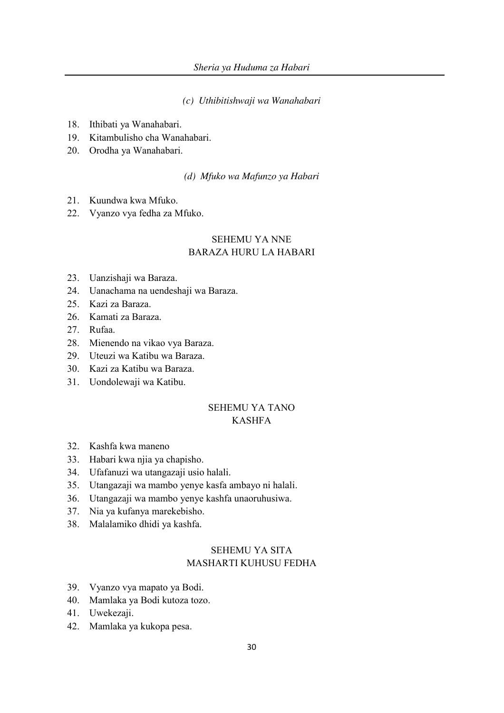*(c) Uthibitishwaji wa Wanahabari*

- 18. Ithibati ya Wanahabari.
- 19. Kitambulisho cha Wanahabari.
- 20. Orodha ya Wanahabari.

*(d) Mfuko wa Mafunzo ya Habari*

- 21. Kuundwa kwa Mfuko.
- 22. Vyanzo vya fedha za Mfuko.

# SEHEMU YA NNE BARAZA HURU LA HABARI

- 23. Uanzishaji wa Baraza.
- 24. Uanachama na uendeshaji wa Baraza.
- 25. Kazi za Baraza.
- 26. Kamati za Baraza.
- 27. Rufaa.
- 28. Mienendo na vikao vya Baraza.
- 29. Uteuzi wa Katibu wa Baraza.
- 30. Kazi za Katibu wa Baraza.
- 31. Uondolewaji wa Katibu.

# SEHEMU YA TANO KASHFA

- 32. Kashfa kwa maneno
- 33. Habari kwa njia ya chapisho.
- 34. Ufafanuzi wa utangazaji usio halali.
- 35. Utangazaji wa mambo yenye kasfa ambayo ni halali.
- 36. Utangazaji wa mambo yenye kashfa unaoruhusiwa.
- 37. Nia ya kufanya marekebisho.
- 38. Malalamiko dhidi ya kashfa.

# SEHEMU YA SITA MASHARTI KUHUSU FEDHA

- 39. Vyanzo vya mapato ya Bodi.
- 40. Mamlaka ya Bodi kutoza tozo.
- 41. Uwekezaji.
- 42. Mamlaka ya kukopa pesa.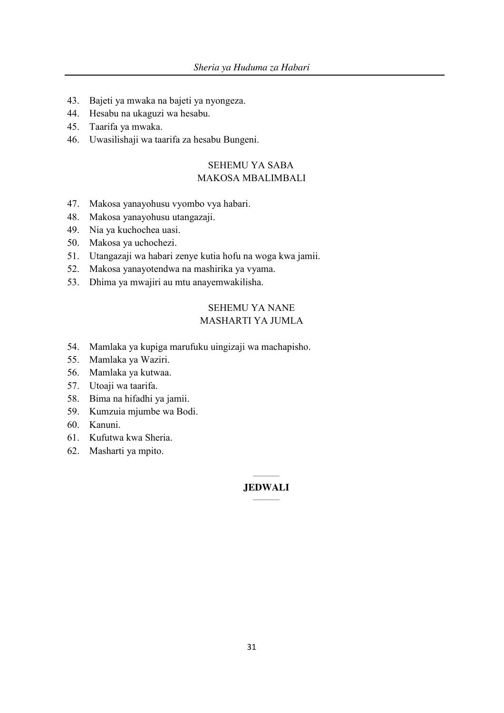- 43. Bajeti ya mwaka na bajeti ya nyongeza.
- 44. Hesabu na ukaguzi wa hesabu.
- 45. Taarifa ya mwaka.
- 46. Uwasilishaji wa taarifa za hesabu Bungeni.

# SEHEMU YA SABA MAKOSA MBALIMBALI

- 47. Makosa yanayohusu vyombo vya habari.
- 48. Makosa yanayohusu utangazaji.
- 49. Nia ya kuchochea uasi.
- 50. Makosa ya uchochezi.
- 51. Utangazaji wa habari zenye kutia hofu na woga kwa jamii.
- 52. Makosa yanayotendwa na mashirika ya vyama.
- 53. Dhima ya mwajiri au mtu anayemwakilisha.

# SEHEMU YA NANE MASHARTI YA JUMLA

- 54. Mamlaka ya kupiga marufuku uingizaji wa machapisho.
- 55. Mamlaka ya Waziri.
- 56. Mamlaka ya kutwaa.
- 57. Utoaji wa taarifa.
- 58. Bima na hifadhi ya jamii.
- 59. Kumzuia mjumbe wa Bodi.
- 60. Kanuni.
- 61. Kufutwa kwa Sheria.
- 62. Masharti ya mpito.

#### $\mathcal{L}$ **JEDWALI**  $\mathcal{L}$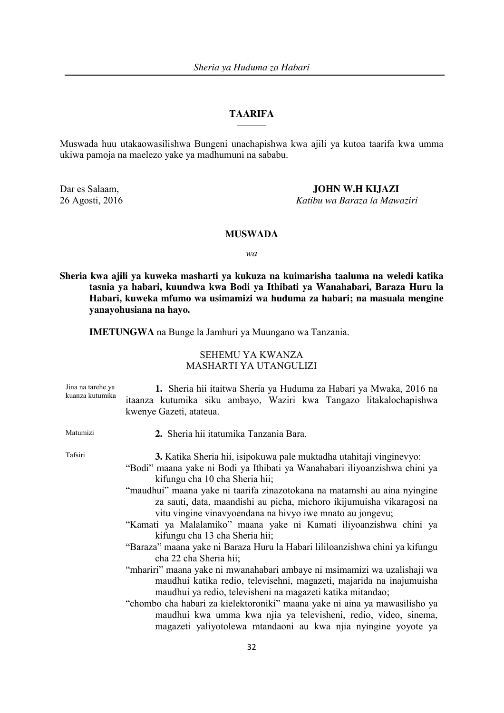#### **TAARIFA \_\_\_\_\_\_\_\_\_**

Muswada huu utakaowasilishwa Bungeni unachapishwa kwa ajili ya kutoa taarifa kwa umma ukiwa pamoja na maelezo yake ya madhumuni na sababu.

Dar es Salaam, **JOHN W.H KIJAZI** 

26 Agosti, 2016 *Katibu wa Baraza la Mawaziri*

### **MUSWADA**

*wa*

**Sheria kwa ajili ya kuweka masharti ya kukuza na kuimarisha taaluma na weledi katika tasnia ya habari, kuundwa kwa Bodi ya Ithibati ya Wanahabari, Baraza Huru la Habari, kuweka mfumo wa usimamizi wa huduma za habari; na masuala mengine yanayohusiana na hayo.**

**IMETUNGWA** na Bunge la Jamhuri ya Muungano wa Tanzania.

# SEHEMU YA KWANZA MASHARTI YA UTANGULIZI

| Jina na tarehe ya<br>kuanza kutumika | 1. Sheria hii itaitwa Sheria ya Huduma za Habari ya Mwaka, 2016 na<br>itaanza kutumika siku ambayo, Waziri kwa Tangazo litakalochapishwa<br>kwenye Gazeti, atateua.                                                                                                                                                                                                                                                                                                                                                                                                                                                                                                                                                                                                                                                                                                                                                                                                                                                                                           |
|--------------------------------------|---------------------------------------------------------------------------------------------------------------------------------------------------------------------------------------------------------------------------------------------------------------------------------------------------------------------------------------------------------------------------------------------------------------------------------------------------------------------------------------------------------------------------------------------------------------------------------------------------------------------------------------------------------------------------------------------------------------------------------------------------------------------------------------------------------------------------------------------------------------------------------------------------------------------------------------------------------------------------------------------------------------------------------------------------------------|
| Matumizi                             | 2. Sheria hii itatumika Tanzania Bara.                                                                                                                                                                                                                                                                                                                                                                                                                                                                                                                                                                                                                                                                                                                                                                                                                                                                                                                                                                                                                        |
| Tafsiri                              | 3. Katika Sheria hii, isipokuwa pale muktadha utahitaji vinginevyo:<br>"Bodi" maana yake ni Bodi ya Ithibati ya Wanahabari iliyoanzishwa chini ya<br>kifungu cha 10 cha Sheria hii;<br>"maudhui" maana yake ni taarifa zinazotokana na matamshi au aina nyingine<br>za sauti, data, maandishi au picha, michoro ikijumuisha vikaragosi na<br>vitu vingine vinavyoendana na hivyo iwe mnato au jongevu;<br>"Kamati ya Malalamiko" maana yake ni Kamati iliyoanzishwa chini ya<br>kifungu cha 13 cha Sheria hii;<br>"Baraza" maana yake ni Baraza Huru la Habari lililoanzishwa chini ya kifungu<br>cha 22 cha Sheria hii;<br>"mhariri" maana yake ni mwanahabari ambaye ni msimamizi wa uzalishaji wa<br>maudhui katika redio, televisehni, magazeti, majarida na inajumuisha<br>maudhui ya redio, televisheni na magazeti katika mitandao;<br>"chombo cha habari za kielektoroniki" maana yake ni aina ya mawasilisho ya<br>maudhui kwa umma kwa njia ya televisheni, redio, video, sinema,<br>magazeti yaliyotolewa mtandaoni au kwa njia nyingine yoyote ya |
|                                      | າາ                                                                                                                                                                                                                                                                                                                                                                                                                                                                                                                                                                                                                                                                                                                                                                                                                                                                                                                                                                                                                                                            |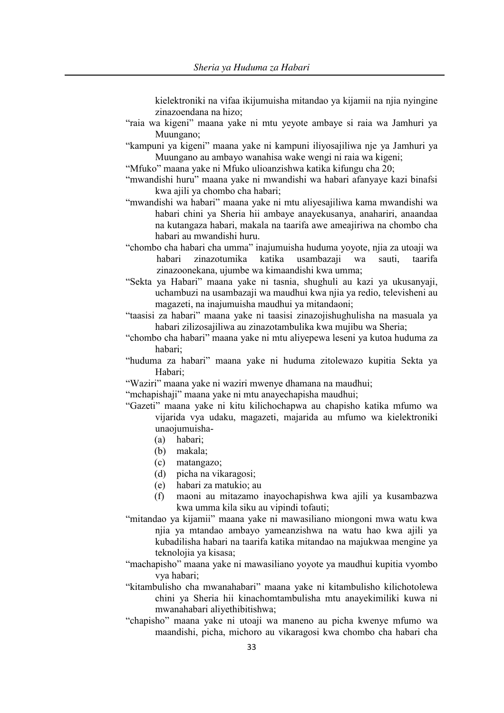kielektroniki na vifaa ikijumuisha mitandao ya kijamii na njia nyingine zinazoendana na hizo;

- "raia wa kigeni" maana yake ni mtu yeyote ambaye si raia wa Jamhuri ya Muungano;
- "kampuni ya kigeni" maana yake ni kampuni iliyosajiliwa nje ya Jamhuri ya Muungano au ambayo wanahisa wake wengi ni raia wa kigeni;
- "Mfuko" maana yake ni Mfuko ulioanzishwa katika kifungu cha 20;
- "mwandishi huru" maana yake ni mwandishi wa habari afanyaye kazi binafsi kwa ajili ya chombo cha habari;
- "mwandishi wa habari" maana yake ni mtu aliyesajiliwa kama mwandishi wa habari chini ya Sheria hii ambaye anayekusanya, anahariri, anaandaa na kutangaza habari, makala na taarifa awe ameajiriwa na chombo cha habari au mwandishi huru.
- "chombo cha habari cha umma" inajumuisha huduma yoyote, njia za utoaji wa habari zinazotumika katika usambazaji wa sauti, taarifa zinazoonekana, ujumbe wa kimaandishi kwa umma;
- "Sekta ya Habari" maana yake ni tasnia, shughuli au kazi ya ukusanyaji, uchambuzi na usambazaji wa maudhui kwa njia ya redio, televisheni au magazeti, na inajumuisha maudhui ya mitandaoni;
- "taasisi za habari" maana yake ni taasisi zinazojishughulisha na masuala ya habari zilizosajiliwa au zinazotambulika kwa mujibu wa Sheria;
- "chombo cha habari" maana yake ni mtu aliyepewa leseni ya kutoa huduma za habari;
- "huduma za habari" maana yake ni huduma zitolewazo kupitia Sekta ya Habari;
- "Waziri" maana yake ni waziri mwenye dhamana na maudhui;
- "mchapishaji" maana yake ni mtu anayechapisha maudhui;
- "Gazeti" maana yake ni kitu kilichochapwa au chapisho katika mfumo wa vijarida vya udaku, magazeti, majarida au mfumo wa kielektroniki unaojumuisha-
	- (a) habari;
	- (b) makala;
	- (c) matangazo;
	- (d) picha na vikaragosi;
	- (e) habari za matukio; au
	- (f) maoni au mitazamo inayochapishwa kwa ajili ya kusambazwa kwa umma kila siku au vipindi tofauti;
- "mitandao ya kijamii" maana yake ni mawasiliano miongoni mwa watu kwa njia ya mtandao ambayo yameanzishwa na watu hao kwa ajili ya kubadilisha habari na taarifa katika mitandao na majukwaa mengine ya teknolojia ya kisasa;
- "machapisho" maana yake ni mawasiliano yoyote ya maudhui kupitia vyombo vya habari;
- "kitambulisho cha mwanahabari" maana yake ni kitambulisho kilichotolewa chini ya Sheria hii kinachomtambulisha mtu anayekimiliki kuwa ni mwanahabari aliyethibitishwa;
- "chapisho" maana yake ni utoaji wa maneno au picha kwenye mfumo wa maandishi, picha, michoro au vikaragosi kwa chombo cha habari cha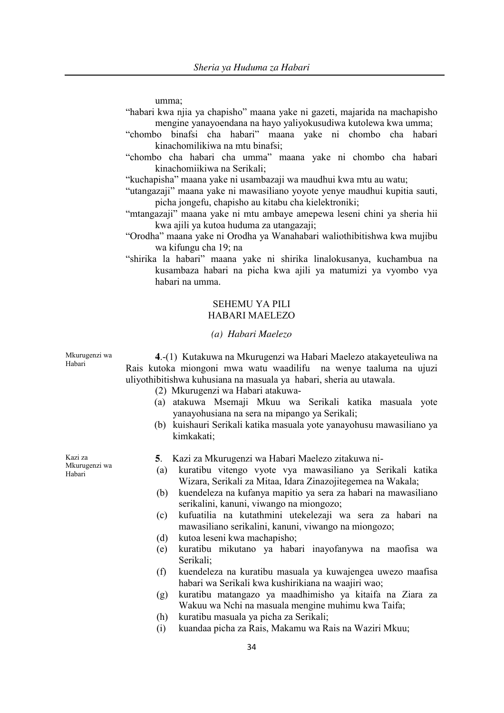umma;

- "habari kwa njia ya chapisho" maana yake ni gazeti, majarida na machapisho mengine yanayoendana na hayo yaliyokusudiwa kutolewa kwa umma;
- "chombo binafsi cha habari" maana yake ni chombo cha habari kinachomilikiwa na mtu binafsi;
- "chombo cha habari cha umma" maana yake ni chombo cha habari kinachomiikiwa na Serikali;

"kuchapisha" maana yake ni usambazaji wa maudhui kwa mtu au watu;

- "utangazaji" maana yake ni mawasiliano yoyote yenye maudhui kupitia sauti, picha jongefu, chapisho au kitabu cha kielektroniki;
- "mtangazaji" maana yake ni mtu ambaye amepewa leseni chini ya sheria hii kwa ajili ya kutoa huduma za utangazaji;
- "Orodha" maana yake ni Orodha ya Wanahabari waliothibitishwa kwa mujibu wa kifungu cha 19; na
- "shirika la habari" maana yake ni shirika linalokusanya, kuchambua na kusambaza habari na picha kwa ajili ya matumizi ya vyombo vya habari na umma.

# SEHEMU YA PILI HABARI MAELEZO

## *(a) Habari Maelezo*

**4**.-(1) Kutakuwa na Mkurugenzi wa Habari Maelezo atakayeteuliwa na Rais kutoka miongoni mwa watu waadilifu na wenye taaluma na ujuzi uliyothibitishwa kuhusiana na masuala ya habari, sheria au utawala.

- (2) Mkurugenzi wa Habari atakuwa-
- (a) atakuwa Msemaji Mkuu wa Serikali katika masuala yote yanayohusiana na sera na mipango ya Serikali;
- (b) kuishauri Serikali katika masuala yote yanayohusu mawasiliano ya kimkakati;
- **5**. Kazi za Mkurugenzi wa Habari Maelezo zitakuwa ni-
- (a) kuratibu vitengo vyote vya mawasiliano ya Serikali katika Wizara, Serikali za Mitaa, Idara Zinazojitegemea na Wakala;
- (b) kuendeleza na kufanya mapitio ya sera za habari na mawasiliano serikalini, kanuni, viwango na miongozo;
- (c) kufuatilia na kutathmini utekelezaji wa sera za habari na mawasiliano serikalini, kanuni, viwango na miongozo;
- (d) kutoa leseni kwa machapisho;
- (e) kuratibu mikutano ya habari inayofanywa na maofisa wa Serikali;
- (f) kuendeleza na kuratibu masuala ya kuwajengea uwezo maafisa habari wa Serikali kwa kushirikiana na waajiri wao;
- (g) kuratibu matangazo ya maadhimisho ya kitaifa na Ziara za Wakuu wa Nchi na masuala mengine muhimu kwa Taifa;
- (h) kuratibu masuala ya picha za Serikali;
- (i) kuandaa picha za Rais, Makamu wa Rais na Waziri Mkuu;

Kazi za Mkurugenzi wa Habari

Mkurugenzi wa Habari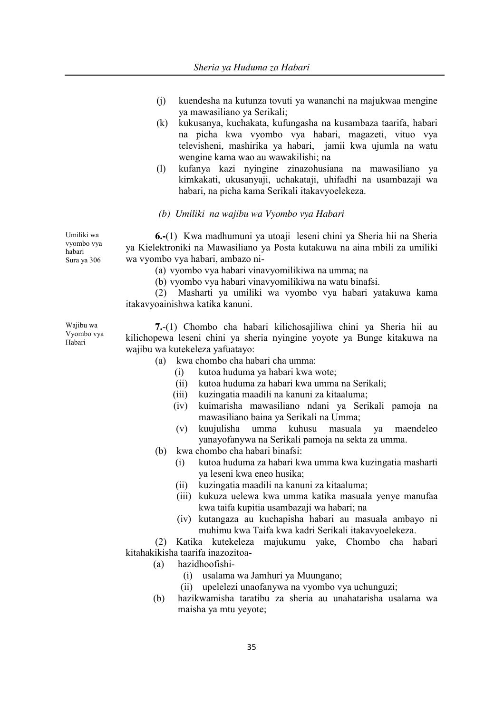- (j) kuendesha na kutunza tovuti ya wananchi na majukwaa mengine ya mawasiliano ya Serikali;
- (k) kukusanya, kuchakata, kufungasha na kusambaza taarifa, habari na picha kwa vyombo vya habari, magazeti, vituo vya televisheni, mashirika ya habari, jamii kwa ujumla na watu wengine kama wao au wawakilishi; na
- (l) kufanya kazi nyingine zinazohusiana na mawasiliano ya kimkakati, ukusanyaji, uchakataji, uhifadhi na usambazaji wa habari, na picha kama Serikali itakavyoelekeza.

# *(b) Umiliki na wajibu wa Vyombo vya Habari*

**6.-**(1) Kwa madhumuni ya utoaji leseni chini ya Sheria hii na Sheria ya Kielektroniki na Mawasiliano ya Posta kutakuwa na aina mbili za umiliki wa vyombo vya habari, ambazo ni-

(a) vyombo vya habari vinavyomilikiwa na umma; na

(b) vyombo vya habari vinavyomilikiwa na watu binafsi.

(2) Masharti ya umiliki wa vyombo vya habari yatakuwa kama itakavyoainishwa katika kanuni.

Wajibu wa Vyombo vya Habari

Umiliki wa vyombo vya habari Sura ya 306

> **7.**-(1) Chombo cha habari kilichosajiliwa chini ya Sheria hii au kilichopewa leseni chini ya sheria nyingine yoyote ya Bunge kitakuwa na wajibu wa kutekeleza yafuatayo:

- (a) kwa chombo cha habari cha umma:
	- (i) kutoa huduma ya habari kwa wote;
	- (ii) kutoa huduma za habari kwa umma na Serikali;
	- (iii) kuzingatia maadili na kanuni za kitaaluma;
	- (iv) kuimarisha mawasiliano ndani ya Serikali pamoja na mawasiliano baina ya Serikali na Umma;
	- (v) kuujulisha umma kuhusu masuala ya maendeleo yanayofanywa na Serikali pamoja na sekta za umma.
- (b) kwa chombo cha habari binafsi:
	- (i) kutoa huduma za habari kwa umma kwa kuzingatia masharti ya leseni kwa eneo husika;
	- (ii) kuzingatia maadili na kanuni za kitaaluma;
	- (iii) kukuza uelewa kwa umma katika masuala yenye manufaa kwa taifa kupitia usambazaji wa habari; na
	- (iv) kutangaza au kuchapisha habari au masuala ambayo ni muhimu kwa Taifa kwa kadri Serikali itakavyoelekeza.

(2) Katika kutekeleza majukumu yake, Chombo cha habari kitahakikisha taarifa inazozitoa-

- (a) hazidhoofishi-
	- (i) usalama wa Jamhuri ya Muungano;
	- (ii) upelelezi unaofanywa na vyombo vya uchunguzi;
- (b) hazikwamisha taratibu za sheria au unahatarisha usalama wa maisha ya mtu yeyote;

35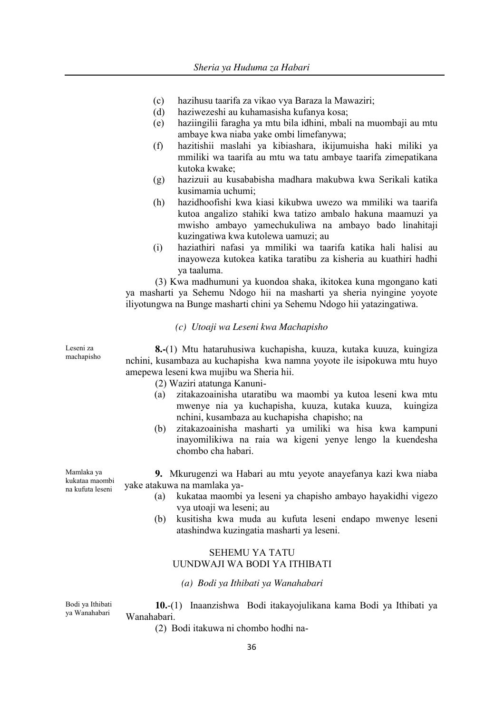- (c) hazihusu taarifa za vikao vya Baraza la Mawaziri;
- (d) haziwezeshi au kuhamasisha kufanya kosa;
- (e) haziingilii faragha ya mtu bila idhini, mbali na muombaji au mtu ambaye kwa niaba yake ombi limefanywa;
- (f) hazitishii maslahi ya kibiashara, ikijumuisha haki miliki ya mmiliki wa taarifa au mtu wa tatu ambaye taarifa zimepatikana kutoka kwake;
- (g) hazizuii au kusababisha madhara makubwa kwa Serikali katika kusimamia uchumi;
- (h) hazidhoofishi kwa kiasi kikubwa uwezo wa mmiliki wa taarifa kutoa angalizo stahiki kwa tatizo ambalo hakuna maamuzi ya mwisho ambayo yamechukuliwa na ambayo bado linahitaji kuzingatiwa kwa kutolewa uamuzi; au
- (i) haziathiri nafasi ya mmiliki wa taarifa katika hali halisi au inayoweza kutokea katika taratibu za kisheria au kuathiri hadhi ya taaluma.

(3) Kwa madhumuni ya kuondoa shaka, ikitokea kuna mgongano kati ya masharti ya Sehemu Ndogo hii na masharti ya sheria nyingine yoyote iliyotungwa na Bunge masharti chini ya Sehemu Ndogo hii yatazingatiwa.

#### *(c) Utoaji wa Leseni kwa Machapisho*

**8.-**(1) Mtu hataruhusiwa kuchapisha, kuuza, kutaka kuuza, kuingiza nchini, kusambaza au kuchapisha kwa namna yoyote ile isipokuwa mtu huyo amepewa leseni kwa mujibu wa Sheria hii.

- (2) Waziri atatunga Kanuni-
- (a) zitakazoainisha utaratibu wa maombi ya kutoa leseni kwa mtu mwenye nia ya kuchapisha, kuuza, kutaka kuuza, kuingiza nchini, kusambaza au kuchapisha chapisho; na
- (b) zitakazoainisha masharti ya umiliki wa hisa kwa kampuni inayomilikiwa na raia wa kigeni yenye lengo la kuendesha chombo cha habari.

**9.** Mkurugenzi wa Habari au mtu yeyote anayefanya kazi kwa niaba yake atakuwa na mamlaka ya-

- (a) kukataa maombi ya leseni ya chapisho ambayo hayakidhi vigezo vya utoaji wa leseni; au
- (b) kusitisha kwa muda au kufuta leseni endapo mwenye leseni atashindwa kuzingatia masharti ya leseni.

### SEHEMU YA TATU UUNDWAJI WA BODI YA ITHIBATI

*(a) Bodi ya Ithibati ya Wanahabari*

Bodi ya Ithibati ya Wanahabari **10.**-(1) Inaanzishwa Bodi itakayojulikana kama Bodi ya Ithibati ya Wanahabari.

(2) Bodi itakuwa ni chombo hodhi na-

Mamlaka ya kukataa maombi na kufuta leseni

Leseni za machapisho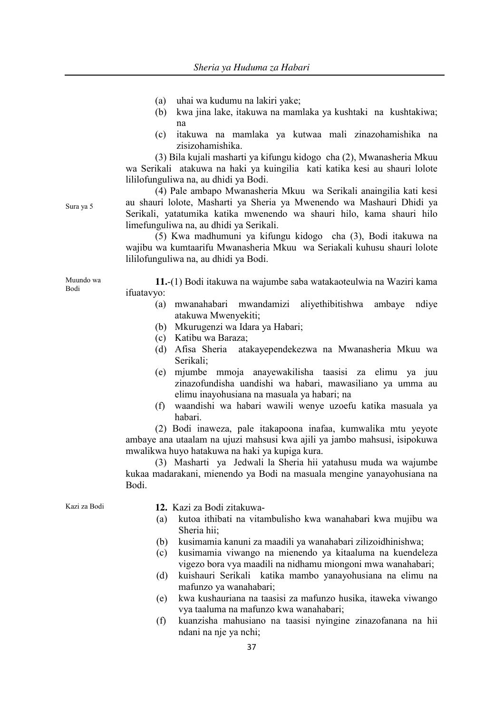- (a) uhai wa kudumu na lakiri yake;
- (b) kwa jina lake, itakuwa na mamlaka ya kushtaki na kushtakiwa; na
- (c) itakuwa na mamlaka ya kutwaa mali zinazohamishika na zisizohamishika.

(3) Bila kujali masharti ya kifungu kidogo cha (2), Mwanasheria Mkuu wa Serikali atakuwa na haki ya kuingilia kati katika kesi au shauri lolote lililofunguliwa na, au dhidi ya Bodi.

(4) Pale ambapo Mwanasheria Mkuu wa Serikali anaingilia kati kesi au shauri lolote, Masharti ya Sheria ya Mwenendo wa Mashauri Dhidi ya Serikali, yatatumika katika mwenendo wa shauri hilo, kama shauri hilo limefunguliwa na, au dhidi ya Serikali.

(5) Kwa madhumuni ya kifungu kidogo cha (3), Bodi itakuwa na wajibu wa kumtaarifu Mwanasheria Mkuu wa Seriakali kuhusu shauri lolote lililofunguliwa na, au dhidi ya Bodi.

**11.**-(1) Bodi itakuwa na wajumbe saba watakaoteulwia na Waziri kama ifuatavyo:

- (a) mwanahabari mwandamizi aliyethibitishwa ambaye ndiye atakuwa Mwenyekiti;
- (b) Mkurugenzi wa Idara ya Habari;
- (c) Katibu wa Baraza;
- (d) Afisa Sheria atakayependekezwa na Mwanasheria Mkuu wa Serikali;
- (e) mjumbe mmoja anayewakilisha taasisi za elimu ya juu zinazofundisha uandishi wa habari, mawasiliano ya umma au elimu inayohusiana na masuala ya habari; na
- (f) waandishi wa habari wawili wenye uzoefu katika masuala ya habari.

(2) Bodi inaweza, pale itakapoona inafaa, kumwalika mtu yeyote ambaye ana utaalam na ujuzi mahsusi kwa ajili ya jambo mahsusi, isipokuwa mwalikwa huyo hatakuwa na haki ya kupiga kura.

(3) Masharti ya Jedwali la Sheria hii yatahusu muda wa wajumbe kukaa madarakani, mienendo ya Bodi na masuala mengine yanayohusiana na Bodi.

Kazi za Bodi **12.** Kazi za Bodi zitakuwa-

- (a) kutoa ithibati na vitambulisho kwa wanahabari kwa mujibu wa Sheria hii;
- (b) kusimamia kanuni za maadili ya wanahabari zilizoidhinishwa;
- (c) kusimamia viwango na mienendo ya kitaaluma na kuendeleza vigezo bora vya maadili na nidhamu miongoni mwa wanahabari;
- (d) kuishauri Serikali katika mambo yanayohusiana na elimu na mafunzo ya wanahabari;
- (e) kwa kushauriana na taasisi za mafunzo husika, itaweka viwango vya taaluma na mafunzo kwa wanahabari;
- (f) kuanzisha mahusiano na taasisi nyingine zinazofanana na hii ndani na nje ya nchi;

Sura ya 5

Muundo wa Bodi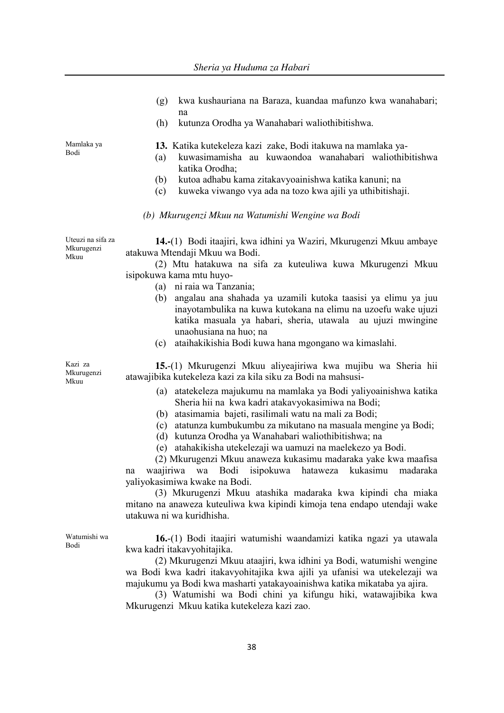- (g) kwa kushauriana na Baraza, kuandaa mafunzo kwa wanahabari; na
- (h) kutunza Orodha ya Wanahabari waliothibitishwa.

**13.** Katika kutekeleza kazi zake, Bodi itakuwa na mamlaka ya-

- (a) kuwasimamisha au kuwaondoa wanahabari waliothibitishwa katika Orodha;
- (b) kutoa adhabu kama zitakavyoainishwa katika kanuni; na
- (c) kuweka viwango vya ada na tozo kwa ajili ya uthibitishaji.
- *(b) Mkurugenzi Mkuu na Watumishi Wengine wa Bodi*

Uteuzi na sifa za Mkurugenzi **14.-**(1) Bodi itaajiri, kwa idhini ya Waziri, Mkurugenzi Mkuu ambaye atakuwa Mtendaji Mkuu wa Bodi.

> (2) Mtu hatakuwa na sifa za kuteuliwa kuwa Mkurugenzi Mkuu isipokuwa kama mtu huyo-

- (a) ni raia wa Tanzania;
- (b) angalau ana shahada ya uzamili kutoka taasisi ya elimu ya juu inayotambulika na kuwa kutokana na elimu na uzoefu wake ujuzi katika masuala ya habari, sheria, utawala au ujuzi mwingine unaohusiana na huo; na
- (c) ataihakikishia Bodi kuwa hana mgongano wa kimaslahi.

**15.**-(1) Mkurugenzi Mkuu aliyeajiriwa kwa mujibu wa Sheria hii atawajibika kutekeleza kazi za kila siku za Bodi na mahsusi-

- (a) atatekeleza majukumu na mamlaka ya Bodi yaliyoainishwa katika Sheria hii na kwa kadri atakavyokasimiwa na Bodi;
- (b) atasimamia bajeti, rasilimali watu na mali za Bodi;
- (c) atatunza kumbukumbu za mikutano na masuala mengine ya Bodi;
- (d) kutunza Orodha ya Wanahabari waliothibitishwa; na
- (e) atahakikisha utekelezaji wa uamuzi na maelekezo ya Bodi.

(2) Mkurugenzi Mkuu anaweza kukasimu madaraka yake kwa maafisa na waajiriwa wa Bodi isipokuwa hataweza kukasimu madaraka yaliyokasimiwa kwake na Bodi.

(3) Mkurugenzi Mkuu atashika madaraka kwa kipindi cha miaka mitano na anaweza kuteuliwa kwa kipindi kimoja tena endapo utendaji wake utakuwa ni wa kuridhisha.

Watumishi wa Bodi

**16.**-(1) Bodi itaajiri watumishi waandamizi katika ngazi ya utawala kwa kadri itakavyohitajika.

(2) Mkurugenzi Mkuu ataajiri, kwa idhini ya Bodi, watumishi wengine wa Bodi kwa kadri itakavyohitajika kwa ajili ya ufanisi wa utekelezaji wa majukumu ya Bodi kwa masharti yatakayoainishwa katika mikataba ya ajira.

(3) Watumishi wa Bodi chini ya kifungu hiki, watawajibika kwa Mkurugenzi Mkuu katika kutekeleza kazi zao.

Mamlaka ya Bodi

Mkuu

Kazi za Mkurugenzi Mkuu

38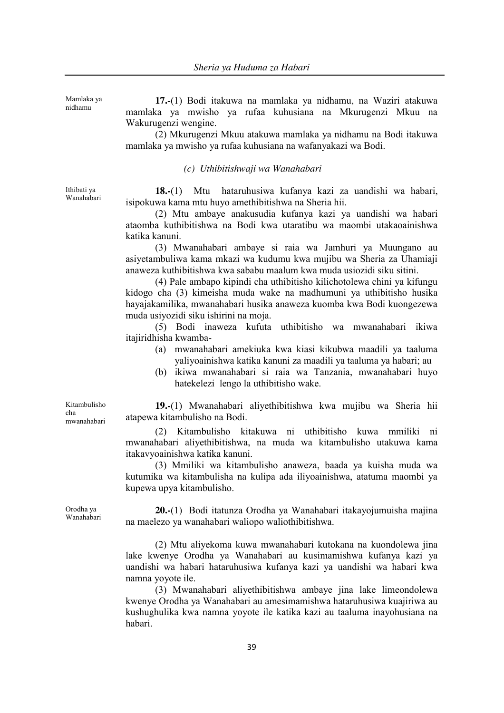Mamlaka ya nidhamu

**17.**-(1) Bodi itakuwa na mamlaka ya nidhamu, na Waziri atakuwa mamlaka ya mwisho ya rufaa kuhusiana na Mkurugenzi Mkuu na Wakurugenzi wengine.

(2) Mkurugenzi Mkuu atakuwa mamlaka ya nidhamu na Bodi itakuwa mamlaka ya mwisho ya rufaa kuhusiana na wafanyakazi wa Bodi.

*(c) Uthibitishwaji wa Wanahabari*

Ithibati ya Wanahabari

**18.-**(1) Mtu hataruhusiwa kufanya kazi za uandishi wa habari, isipokuwa kama mtu huyo amethibitishwa na Sheria hii.

(2) Mtu ambaye anakusudia kufanya kazi ya uandishi wa habari ataomba kuthibitishwa na Bodi kwa utaratibu wa maombi utakaoainishwa katika kanuni.

(3) Mwanahabari ambaye si raia wa Jamhuri ya Muungano au asiyetambuliwa kama mkazi wa kudumu kwa mujibu wa Sheria za Uhamiaji anaweza kuthibitishwa kwa sababu maalum kwa muda usiozidi siku sitini.

(4) Pale ambapo kipindi cha uthibitisho kilichotolewa chini ya kifungu kidogo cha (3) kimeisha muda wake na madhumuni ya uthibitisho husika hayajakamilika, mwanahabari husika anaweza kuomba kwa Bodi kuongezewa muda usiyozidi siku ishirini na moja.

(5) Bodi inaweza kufuta uthibitisho wa mwanahabari ikiwa itajiridhisha kwamba-

- (a) mwanahabari amekiuka kwa kiasi kikubwa maadili ya taaluma yaliyoainishwa katika kanuni za maadili ya taaluma ya habari; au
- (b) ikiwa mwanahabari si raia wa Tanzania, mwanahabari huyo hatekelezi lengo la uthibitisho wake.

Kitambulisho cha mwanahabari

**19.-**(1) Mwanahabari aliyethibitishwa kwa mujibu wa Sheria hii atapewa kitambulisho na Bodi.

(2) Kitambulisho kitakuwa ni uthibitisho kuwa mmiliki ni mwanahabari aliyethibitishwa, na muda wa kitambulisho utakuwa kama itakavyoainishwa katika kanuni.

(3) Mmiliki wa kitambulisho anaweza, baada ya kuisha muda wa kutumika wa kitambulisha na kulipa ada iliyoainishwa, atatuma maombi ya kupewa upya kitambulisho.

**20.-**(1) Bodi itatunza Orodha ya Wanahabari itakayojumuisha majina na maelezo ya wanahabari waliopo waliothibitishwa.

(2) Mtu aliyekoma kuwa mwanahabari kutokana na kuondolewa jina lake kwenye Orodha ya Wanahabari au kusimamishwa kufanya kazi ya uandishi wa habari hataruhusiwa kufanya kazi ya uandishi wa habari kwa namna yoyote ile.

(3) Mwanahabari aliyethibitishwa ambaye jina lake limeondolewa kwenye Orodha ya Wanahabari au amesimamishwa hataruhusiwa kuajiriwa au kushughulika kwa namna yoyote ile katika kazi au taaluma inayohusiana na habari.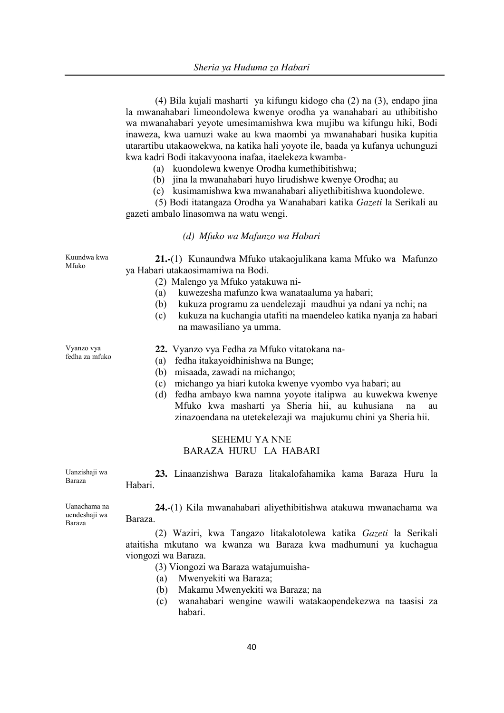|                                         | (4) Bila kujali masharti ya kifungu kidogo cha (2) na (3), endapo jina<br>la mwanahabari limeondolewa kwenye orodha ya wanahabari au uthibitisho<br>wa mwanahabari yeyote umesimamishwa kwa mujibu wa kifungu hiki, Bodi<br>inaweza, kwa uamuzi wake au kwa maombi ya mwanahabari husika kupitia<br>utarartibu utakaowekwa, na katika hali yoyote ile, baada ya kufanya uchunguzi<br>kwa kadri Bodi itakavyoona inafaa, itaelekeza kwamba-<br>(a) kuondolewa kwenye Orodha kumethibitishwa;<br>(b) jina la mwanahabari huyo lirudishwe kwenye Orodha; au<br>(c) kusimamishwa kwa mwanahabari aliyethibitishwa kuondolewe.<br>(5) Bodi itatangaza Orodha ya Wanahabari katika Gazeti la Serikali au<br>gazeti ambalo linasomwa na watu wengi. |
|-----------------------------------------|----------------------------------------------------------------------------------------------------------------------------------------------------------------------------------------------------------------------------------------------------------------------------------------------------------------------------------------------------------------------------------------------------------------------------------------------------------------------------------------------------------------------------------------------------------------------------------------------------------------------------------------------------------------------------------------------------------------------------------------------|
|                                         | (d) Mfuko wa Mafunzo wa Habari                                                                                                                                                                                                                                                                                                                                                                                                                                                                                                                                                                                                                                                                                                               |
| Kuundwa kwa<br>Mfuko                    | 21.-(1) Kunaundwa Mfuko utakaojulikana kama Mfuko wa Mafunzo<br>ya Habari utakaosimamiwa na Bodi.<br>(2) Malengo ya Mfuko yatakuwa ni-<br>kuwezesha mafunzo kwa wanataaluma ya habari;<br>(a)<br>kukuza programu za uendelezaji maudhui ya ndani ya nchi; na<br>(b)<br>kukuza na kuchangia utafiti na maendeleo katika nyanja za habari<br>(c)<br>na mawasiliano ya umma.                                                                                                                                                                                                                                                                                                                                                                    |
| Vyanzo vya<br>fedha za mfuko            | 22. Vyanzo vya Fedha za Mfuko vitatokana na-<br>fedha itakayoidhinishwa na Bunge;<br>(a)<br>misaada, zawadi na michango;<br>(b)<br>michango ya hiari kutoka kwenye vyombo vya habari; au<br>(c)<br>fedha ambayo kwa namna yoyote italipwa au kuwekwa kwenye<br>(d)<br>Mfuko kwa masharti ya Sheria hii, au kuhusiana<br>na<br>au<br>zinazoendana na utetekelezaji wa majukumu chini ya Sheria hii.<br><b>SEHEMU YA NNE</b><br>BARAZA HURU LA HABARI                                                                                                                                                                                                                                                                                          |
| Uanzishaji wa<br>Baraza                 | 23. Linaanzishwa Baraza litakalofahamika kama Baraza Huru la<br>Habari.                                                                                                                                                                                                                                                                                                                                                                                                                                                                                                                                                                                                                                                                      |
| Uanachama na<br>uendeshaji wa<br>Baraza | 24.-(1) Kila mwanahabari aliyethibitishwa atakuwa mwanachama wa<br>Baraza.<br>(2) Waziri, kwa Tangazo litakalotolewa katika Gazeti la Serikali<br>ataitisha mkutano wa kwanza wa Baraza kwa madhumuni ya kuchagua<br>viongozi wa Baraza.<br>(3) Viongozi wa Baraza watajumuisha-<br>Mwenyekiti wa Baraza;<br>(a)                                                                                                                                                                                                                                                                                                                                                                                                                             |

- (b) Makamu Mwenyekiti wa Baraza; na
- (c) wanahabari wengine wawili watakaopendekezwa na taasisi za habari.

40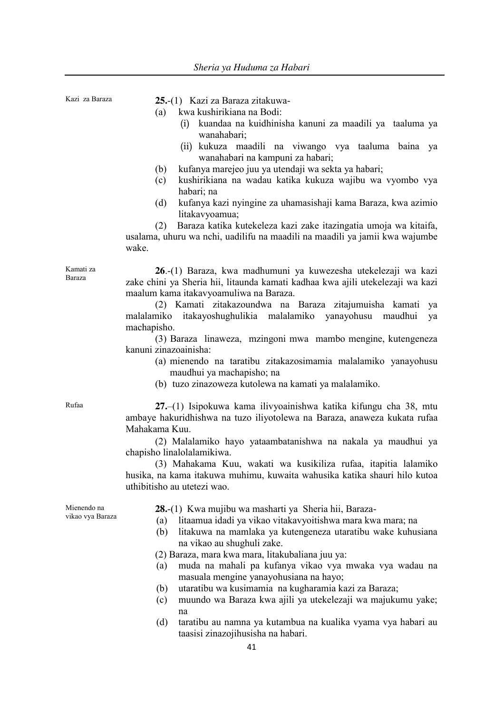Kazi za Baraza **25.**-(1) Kazi za Baraza zitakuwa- (a) kwa kushirikiana na Bodi:

- (i) kuandaa na kuidhinisha kanuni za maadili ya taaluma ya wanahabari;
- (ii) kukuza maadili na viwango vya taaluma baina ya wanahabari na kampuni za habari;
- (b) kufanya marejeo juu ya utendaji wa sekta ya habari;
- (c) kushirikiana na wadau katika kukuza wajibu wa vyombo vya habari; na
- (d) kufanya kazi nyingine za uhamasishaji kama Baraza, kwa azimio litakavyoamua;

(2) Baraza katika kutekeleza kazi zake itazingatia umoja wa kitaifa, usalama, uhuru wa nchi, uadilifu na maadili na maadili ya jamii kwa wajumbe wake.

**26**.-(1) Baraza, kwa madhumuni ya kuwezesha utekelezaji wa kazi zake chini ya Sheria hii, litaunda kamati kadhaa kwa ajili utekelezaji wa kazi maalum kama itakavyoamuliwa na Baraza.

(2) Kamati zitakazoundwa na Baraza zitajumuisha kamati ya malalamiko itakayoshughulikia malalamiko yanayohusu maudhui ya machapisho.

(3) Baraza linaweza, mzingoni mwa mambo mengine, kutengeneza kanuni zinazoainisha:

- (a) mienendo na taratibu zitakazosimamia malalamiko yanayohusu maudhui ya machapisho; na
- (b) tuzo zinazoweza kutolewa na kamati ya malalamiko.

Kamati za Baraza

Rufaa **27.**–(1) Isipokuwa kama ilivyoainishwa katika kifungu cha 38, mtu ambaye hakuridhishwa na tuzo iliyotolewa na Baraza, anaweza kukata rufaa Mahakama Kuu.

> (2) Malalamiko hayo yataambatanishwa na nakala ya maudhui ya chapisho linalolalamikiwa.

> (3) Mahakama Kuu, wakati wa kusikiliza rufaa, itapitia lalamiko husika, na kama itakuwa muhimu, kuwaita wahusika katika shauri hilo kutoa uthibitisho au utetezi wao.

Mienendo na vikao vya Baraza **28.**-(1) Kwa mujibu wa masharti ya Sheria hii, Baraza-

- (a) litaamua idadi ya vikao vitakavyoitishwa mara kwa mara; na
- (b) litakuwa na mamlaka ya kutengeneza utaratibu wake kuhusiana na vikao au shughuli zake.

(2) Baraza, mara kwa mara, litakubaliana juu ya:

- (a) muda na mahali pa kufanya vikao vya mwaka vya wadau na masuala mengine yanayohusiana na hayo;
- (b) utaratibu wa kusimamia na kugharamia kazi za Baraza;
- (c) muundo wa Baraza kwa ajili ya utekelezaji wa majukumu yake; na
- (d) taratibu au namna ya kutambua na kualika vyama vya habari au taasisi zinazojihusisha na habari.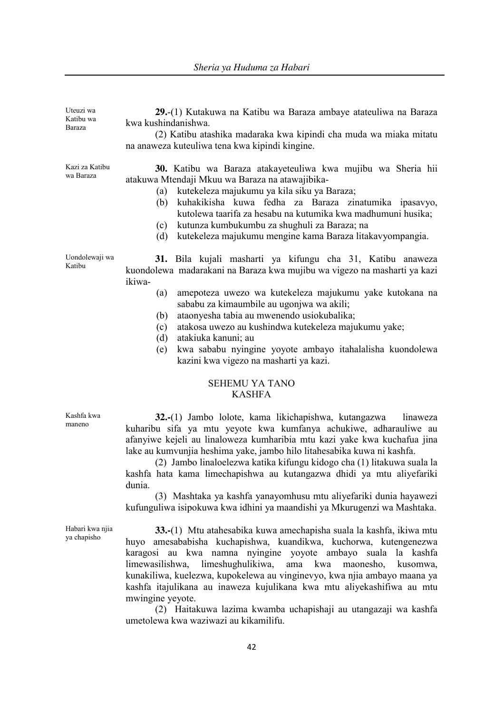| Uteuzi wa<br>Katibu wa<br>Baraza | 29.-(1) Kutakuwa na Katibu wa Baraza ambaye atateuliwa na Baraza<br>kwa kushindanishwa.<br>(2) Katibu atashika madaraka kwa kipindi cha muda wa miaka mitatu<br>na anaweza kuteuliwa tena kwa kipindi kingine.                                                                                                                                                                                                                                                                                                                                           |
|----------------------------------|----------------------------------------------------------------------------------------------------------------------------------------------------------------------------------------------------------------------------------------------------------------------------------------------------------------------------------------------------------------------------------------------------------------------------------------------------------------------------------------------------------------------------------------------------------|
| Kazi za Katibu<br>wa Baraza      | 30. Katibu wa Baraza atakayeteuliwa kwa mujibu wa Sheria hii<br>atakuwa Mtendaji Mkuu wa Baraza na atawajibika-<br>kutekeleza majukumu ya kila siku ya Baraza;<br>(a)<br>kuhakikisha kuwa fedha za Baraza zinatumika ipasavyo,<br>(b)<br>kutolewa taarifa za hesabu na kutumika kwa madhumuni husika;<br>kutunza kumbukumbu za shughuli za Baraza; na<br>(c)<br>kutekeleza majukumu mengine kama Baraza litakavyompangia.<br>(d)                                                                                                                         |
| Uondolewaji wa<br>Katibu         | 31. Bila kujali masharti ya kifungu cha 31, Katibu anaweza<br>kuondolewa madarakani na Baraza kwa mujibu wa vigezo na masharti ya kazi<br>ikiwa-<br>amepoteza uwezo wa kutekeleza majukumu yake kutokana na<br>(a)<br>sababu za kimaumbile au ugonjwa wa akili;<br>ataonyesha tabia au mwenendo usiokubalika;<br>(b)<br>atakosa uwezo au kushindwa kutekeleza majukumu yake;<br>(c)<br>(d)<br>atakiuka kanuni; au<br>kwa sababu nyingine yoyote ambayo itahalalisha kuondolewa<br>(e)<br>kazini kwa vigezo na masharti ya kazi.<br><b>SEHEMU YA TANO</b> |

# KASHFA

maneno **32.-**(1) Jambo lolote, kama likichapishwa, kutangazwa linaweza kuharibu sifa ya mtu yeyote kwa kumfanya achukiwe, adharauliwe au afanyiwe kejeli au linaloweza kumharibia mtu kazi yake kwa kuchafua jina lake au kumvunjia heshima yake, jambo hilo litahesabika kuwa ni kashfa.

> (2) Jambo linaloelezwa katika kifungu kidogo cha (1) litakuwa suala la kashfa hata kama limechapishwa au kutangazwa dhidi ya mtu aliyefariki dunia.

> (3) Mashtaka ya kashfa yanayomhusu mtu aliyefariki dunia hayawezi kufunguliwa isipokuwa kwa idhini ya maandishi ya Mkurugenzi wa Mashtaka.

> **33.-**(1) Mtu atahesabika kuwa amechapisha suala la kashfa, ikiwa mtu huyo amesababisha kuchapishwa, kuandikwa, kuchorwa, kutengenezwa karagosi au kwa namna nyingine yoyote ambayo suala la kashfa limewasilishwa, limeshughulikiwa, ama kwa maonesho, kusomwa, kunakiliwa, kuelezwa, kupokelewa au vinginevyo, kwa njia ambayo maana ya kashfa itajulikana au inaweza kujulikana kwa mtu aliyekashifiwa au mtu mwingine yeyote.

> (2) Haitakuwa lazima kwamba uchapishaji au utangazaji wa kashfa umetolewa kwa waziwazi au kikamilifu.

Kashfa kwa

Habari kwa njia ya chapisho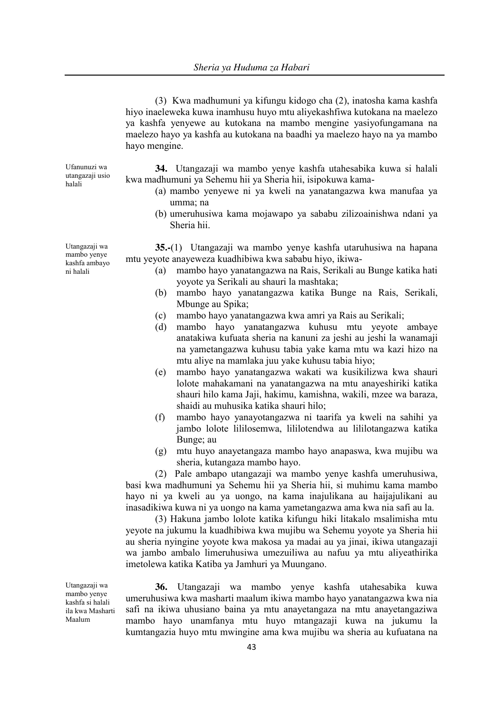(3) Kwa madhumuni ya kifungu kidogo cha (2), inatosha kama kashfa hiyo inaeleweka kuwa inamhusu huyo mtu aliyekashfiwa kutokana na maelezo ya kashfa yenyewe au kutokana na mambo mengine yasiyofungamana na maelezo hayo ya kashfa au kutokana na baadhi ya maelezo hayo na ya mambo hayo mengine.

Ufanunuzi wa utangazaji usio halali

**34.** Utangazaji wa mambo yenye kashfa utahesabika kuwa si halali kwa madhumuni ya Sehemu hii ya Sheria hii, isipokuwa kama-

- (a) mambo yenyewe ni ya kweli na yanatangazwa kwa manufaa ya umma; na
- (b) umeruhusiwa kama mojawapo ya sababu zilizoainishwa ndani ya Sheria hii.

**35.-**(1) Utangazaji wa mambo yenye kashfa utaruhusiwa na hapana mtu yeyote anayeweza kuadhibiwa kwa sababu hiyo, ikiwa-

- (a) mambo hayo yanatangazwa na Rais, Serikali au Bunge katika hati yoyote ya Serikali au shauri la mashtaka;
- (b) mambo hayo yanatangazwa katika Bunge na Rais, Serikali, Mbunge au Spika;
- (c) mambo hayo yanatangazwa kwa amri ya Rais au Serikali;
- (d) mambo hayo yanatangazwa kuhusu mtu yeyote ambaye anatakiwa kufuata sheria na kanuni za jeshi au jeshi la wanamaji na yametangazwa kuhusu tabia yake kama mtu wa kazi hizo na mtu aliye na mamlaka juu yake kuhusu tabia hiyo;
- (e) mambo hayo yanatangazwa wakati wa kusikilizwa kwa shauri lolote mahakamani na yanatangazwa na mtu anayeshiriki katika shauri hilo kama Jaji, hakimu, kamishna, wakili, mzee wa baraza, shaidi au muhusika katika shauri hilo;
- (f) mambo hayo yanayotangazwa ni taarifa ya kweli na sahihi ya jambo lolote lililosemwa, lililotendwa au lililotangazwa katika Bunge; au
- (g) mtu huyo anayetangaza mambo hayo anapaswa, kwa mujibu wa sheria, kutangaza mambo hayo.

(2) Pale ambapo utangazaji wa mambo yenye kashfa umeruhusiwa, basi kwa madhumuni ya Sehemu hii ya Sheria hii, si muhimu kama mambo hayo ni ya kweli au ya uongo, na kama inajulikana au haijajulikani au inasadikiwa kuwa ni ya uongo na kama yametangazwa ama kwa nia safi au la.

(3) Hakuna jambo lolote katika kifungu hiki litakalo msalimisha mtu yeyote na jukumu la kuadhibiwa kwa mujibu wa Sehemu yoyote ya Sheria hii au sheria nyingine yoyote kwa makosa ya madai au ya jinai, ikiwa utangazaji wa jambo ambalo limeruhusiwa umezuiliwa au nafuu ya mtu aliyeathirika imetolewa katika Katiba ya Jamhuri ya Muungano.

Utangazaji wa mambo yenye kashfa si halali ila kwa Masharti Maalum

**36.** Utangazaji wa mambo yenye kashfa utahesabika kuwa umeruhusiwa kwa masharti maalum ikiwa mambo hayo yanatangazwa kwa nia safi na ikiwa uhusiano baina ya mtu anayetangaza na mtu anayetangaziwa mambo hayo unamfanya mtu huyo mtangazaji kuwa na jukumu la kumtangazia huyo mtu mwingine ama kwa mujibu wa sheria au kufuatana na

Utangazaji wa mambo yenye kashfa ambayo ni halali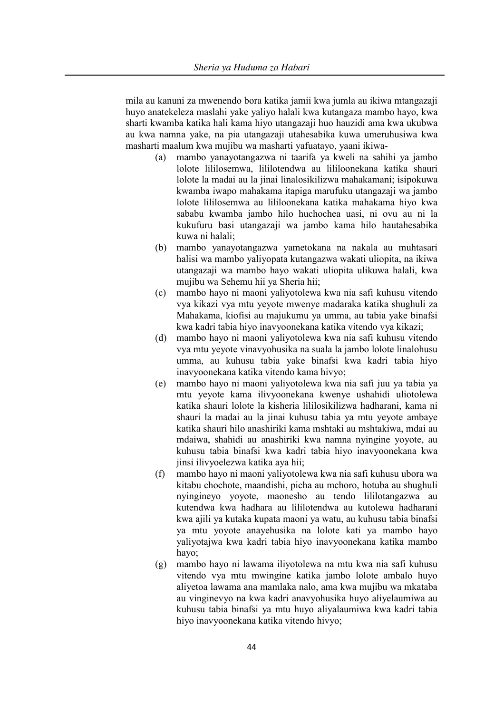mila au kanuni za mwenendo bora katika jamii kwa jumla au ikiwa mtangazaji huyo anatekeleza maslahi yake yaliyo halali kwa kutangaza mambo hayo, kwa sharti kwamba katika hali kama hiyo utangazaji huo hauzidi ama kwa ukubwa au kwa namna yake, na pia utangazaji utahesabika kuwa umeruhusiwa kwa masharti maalum kwa mujibu wa masharti yafuatayo, yaani ikiwa-

- (a) mambo yanayotangazwa ni taarifa ya kweli na sahihi ya jambo lolote lililosemwa, lililotendwa au lililoonekana katika shauri lolote la madai au la jinai linalosikilizwa mahakamani; isipokuwa kwamba iwapo mahakama itapiga marufuku utangazaji wa jambo lolote lililosemwa au lililoonekana katika mahakama hiyo kwa sababu kwamba jambo hilo huchochea uasi, ni ovu au ni la kukufuru basi utangazaji wa jambo kama hilo hautahesabika kuwa ni halali;
- (b) mambo yanayotangazwa yametokana na nakala au muhtasari halisi wa mambo yaliyopata kutangazwa wakati uliopita, na ikiwa utangazaji wa mambo hayo wakati uliopita ulikuwa halali, kwa mujibu wa Sehemu hii ya Sheria hii;
- (c) mambo hayo ni maoni yaliyotolewa kwa nia safi kuhusu vitendo vya kikazi vya mtu yeyote mwenye madaraka katika shughuli za Mahakama, kiofisi au majukumu ya umma, au tabia yake binafsi kwa kadri tabia hiyo inavyoonekana katika vitendo vya kikazi;
- (d) mambo hayo ni maoni yaliyotolewa kwa nia safi kuhusu vitendo vya mtu yeyote vinavyohusika na suala la jambo lolote linalohusu umma, au kuhusu tabia yake binafsi kwa kadri tabia hiyo inavyoonekana katika vitendo kama hivyo;
- (e) mambo hayo ni maoni yaliyotolewa kwa nia safi juu ya tabia ya mtu yeyote kama ilivyoonekana kwenye ushahidi uliotolewa katika shauri lolote la kisheria lililosikilizwa hadharani, kama ni shauri la madai au la jinai kuhusu tabia ya mtu yeyote ambaye katika shauri hilo anashiriki kama mshtaki au mshtakiwa, mdai au mdaiwa, shahidi au anashiriki kwa namna nyingine yoyote, au kuhusu tabia binafsi kwa kadri tabia hiyo inavyoonekana kwa jinsi ilivyoelezwa katika aya hii;
- (f) mambo hayo ni maoni yaliyotolewa kwa nia safi kuhusu ubora wa kitabu chochote, maandishi, picha au mchoro, hotuba au shughuli nyingineyo yoyote, maonesho au tendo lililotangazwa au kutendwa kwa hadhara au lililotendwa au kutolewa hadharani kwa ajili ya kutaka kupata maoni ya watu, au kuhusu tabia binafsi ya mtu yoyote anayehusika na lolote kati ya mambo hayo yaliyotajwa kwa kadri tabia hiyo inavyoonekana katika mambo hayo;
- (g) mambo hayo ni lawama iliyotolewa na mtu kwa nia safi kuhusu vitendo vya mtu mwingine katika jambo lolote ambalo huyo aliyetoa lawama ana mamlaka nalo, ama kwa mujibu wa mkataba au vinginevyo na kwa kadri anavyohusika huyo aliyelaumiwa au kuhusu tabia binafsi ya mtu huyo aliyalaumiwa kwa kadri tabia hiyo inavyoonekana katika vitendo hivyo;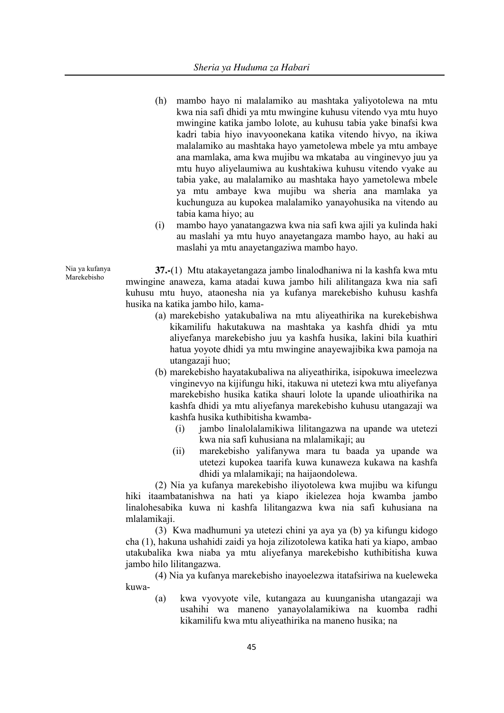- (h) mambo hayo ni malalamiko au mashtaka yaliyotolewa na mtu kwa nia safi dhidi ya mtu mwingine kuhusu vitendo vya mtu huyo mwingine katika jambo lolote, au kuhusu tabia yake binafsi kwa kadri tabia hiyo inavyoonekana katika vitendo hivyo, na ikiwa malalamiko au mashtaka hayo yametolewa mbele ya mtu ambaye ana mamlaka, ama kwa mujibu wa mkataba au vinginevyo juu ya mtu huyo aliyelaumiwa au kushtakiwa kuhusu vitendo vyake au tabia yake, au malalamiko au mashtaka hayo yametolewa mbele ya mtu ambaye kwa mujibu wa sheria ana mamlaka ya kuchunguza au kupokea malalamiko yanayohusika na vitendo au tabia kama hiyo; au
- (i) mambo hayo yanatangazwa kwa nia safi kwa ajili ya kulinda haki au maslahi ya mtu huyo anayetangaza mambo hayo, au haki au maslahi ya mtu anayetangaziwa mambo hayo.

**37.-**(1) Mtu atakayetangaza jambo linalodhaniwa ni la kashfa kwa mtu mwingine anaweza, kama atadai kuwa jambo hili alilitangaza kwa nia safi kuhusu mtu huyo, ataonesha nia ya kufanya marekebisho kuhusu kashfa husika na katika jambo hilo, kama-

- (a) marekebisho yatakubaliwa na mtu aliyeathirika na kurekebishwa kikamilifu hakutakuwa na mashtaka ya kashfa dhidi ya mtu aliyefanya marekebisho juu ya kashfa husika, lakini bila kuathiri hatua yoyote dhidi ya mtu mwingine anayewajibika kwa pamoja na utangazaji huo;
- (b) marekebisho hayatakubaliwa na aliyeathirika, isipokuwa imeelezwa vinginevyo na kijifungu hiki, itakuwa ni utetezi kwa mtu aliyefanya marekebisho husika katika shauri lolote la upande ulioathirika na kashfa dhidi ya mtu aliyefanya marekebisho kuhusu utangazaji wa kashfa husika kuthibitisha kwamba-
	- (i) jambo linalolalamikiwa lilitangazwa na upande wa utetezi kwa nia safi kuhusiana na mlalamikaji; au
	- (ii) marekebisho yalifanywa mara tu baada ya upande wa utetezi kupokea taarifa kuwa kunaweza kukawa na kashfa dhidi ya mlalamikaji; na haijaondolewa.

(2) Nia ya kufanya marekebisho iliyotolewa kwa mujibu wa kifungu hiki itaambatanishwa na hati ya kiapo ikielezea hoja kwamba jambo linalohesabika kuwa ni kashfa lilitangazwa kwa nia safi kuhusiana na mlalamikaji.

(3) Kwa madhumuni ya utetezi chini ya aya ya (b) ya kifungu kidogo cha (1), hakuna ushahidi zaidi ya hoja zilizotolewa katika hati ya kiapo, ambao utakubalika kwa niaba ya mtu aliyefanya marekebisho kuthibitisha kuwa jambo hilo lilitangazwa.

(4) Nia ya kufanya marekebisho inayoelezwa itatafsiriwa na kueleweka kuwa-

(a) kwa vyovyote vile, kutangaza au kuunganisha utangazaji wa usahihi wa maneno yanayolalamikiwa na kuomba radhi kikamilifu kwa mtu aliyeathirika na maneno husika; na

Nia ya kufanya Marekebisho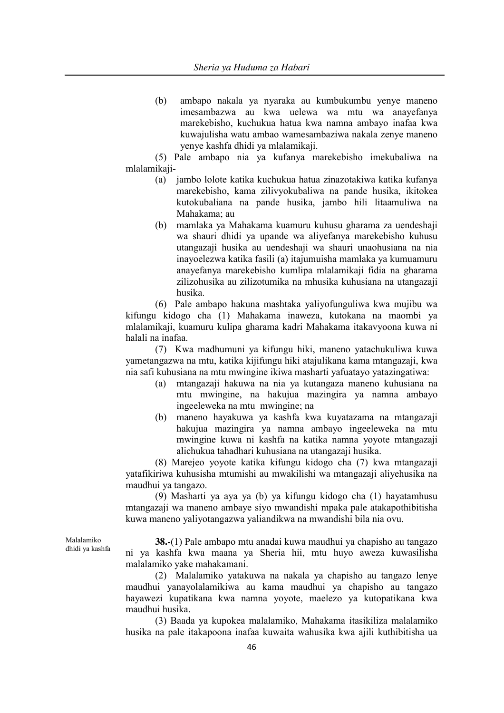(b) ambapo nakala ya nyaraka au kumbukumbu yenye maneno imesambazwa au kwa uelewa wa mtu wa anayefanya marekebisho, kuchukua hatua kwa namna ambayo inafaa kwa kuwajulisha watu ambao wamesambaziwa nakala zenye maneno yenye kashfa dhidi ya mlalamikaji.

(5) Pale ambapo nia ya kufanya marekebisho imekubaliwa na mlalamikaji-

- (a) jambo lolote katika kuchukua hatua zinazotakiwa katika kufanya marekebisho, kama zilivyokubaliwa na pande husika, ikitokea kutokubaliana na pande husika, jambo hili litaamuliwa na Mahakama; au
- (b) mamlaka ya Mahakama kuamuru kuhusu gharama za uendeshaji wa shauri dhidi ya upande wa aliyefanya marekebisho kuhusu utangazaji husika au uendeshaji wa shauri unaohusiana na nia inayoelezwa katika fasili (a) itajumuisha mamlaka ya kumuamuru anayefanya marekebisho kumlipa mlalamikaji fidia na gharama zilizohusika au zilizotumika na mhusika kuhusiana na utangazaji husika.

(6) Pale ambapo hakuna mashtaka yaliyofunguliwa kwa mujibu wa kifungu kidogo cha (1) Mahakama inaweza, kutokana na maombi ya mlalamikaji, kuamuru kulipa gharama kadri Mahakama itakavyoona kuwa ni halali na inafaa.

(7) Kwa madhumuni ya kifungu hiki, maneno yatachukuliwa kuwa yametangazwa na mtu, katika kijifungu hiki atajulikana kama mtangazaji, kwa nia safi kuhusiana na mtu mwingine ikiwa masharti yafuatayo yatazingatiwa:

- (a) mtangazaji hakuwa na nia ya kutangaza maneno kuhusiana na mtu mwingine, na hakujua mazingira ya namna ambayo ingeeleweka na mtu mwingine; na
- (b) maneno hayakuwa ya kashfa kwa kuyatazama na mtangazaji hakujua mazingira ya namna ambayo ingeeleweka na mtu mwingine kuwa ni kashfa na katika namna yoyote mtangazaji alichukua tahadhari kuhusiana na utangazaji husika.

(8) Marejeo yoyote katika kifungu kidogo cha (7) kwa mtangazaji yatafikiriwa kuhusisha mtumishi au mwakilishi wa mtangazaji aliyehusika na maudhui ya tangazo.

(9) Masharti ya aya ya (b) ya kifungu kidogo cha (1) hayatamhusu mtangazaji wa maneno ambaye siyo mwandishi mpaka pale atakapothibitisha kuwa maneno yaliyotangazwa yaliandikwa na mwandishi bila nia ovu.

Malalamiko dhidi ya kashfa

**38.-**(1) Pale ambapo mtu anadai kuwa maudhui ya chapisho au tangazo ni ya kashfa kwa maana ya Sheria hii, mtu huyo aweza kuwasilisha malalamiko yake mahakamani.

(2) Malalamiko yatakuwa na nakala ya chapisho au tangazo lenye maudhui yanayolalamikiwa au kama maudhui ya chapisho au tangazo hayawezi kupatikana kwa namna yoyote, maelezo ya kutopatikana kwa maudhui husika.

(3) Baada ya kupokea malalamiko, Mahakama itasikiliza malalamiko husika na pale itakapoona inafaa kuwaita wahusika kwa ajili kuthibitisha ua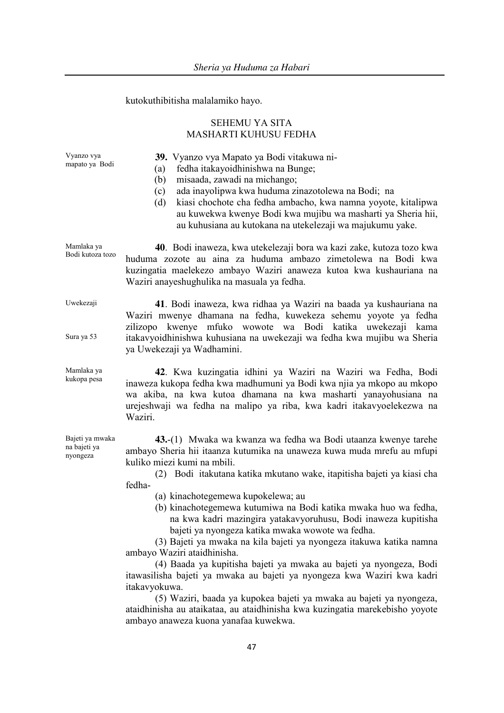kutokuthibitisha malalamiko hayo.

# SEHEMU YA SITA MASHARTI KUHUSU FEDHA

**39.** Vyanzo vya Mapato ya Bodi vitakuwa ni-

- (a) fedha itakayoidhinishwa na Bunge;
- (b) misaada, zawadi na michango;
- (c) ada inayolipwa kwa huduma zinazotolewa na Bodi; na
- (d) kiasi chochote cha fedha ambacho, kwa namna yoyote, kitalipwa au kuwekwa kwenye Bodi kwa mujibu wa masharti ya Sheria hii, au kuhusiana au kutokana na utekelezaji wa majukumu yake.

Mamlaka ya Bodi kutoza tozo **40**. Bodi inaweza, kwa utekelezaji bora wa kazi zake, kutoza tozo kwa huduma zozote au aina za huduma ambazo zimetolewa na Bodi kwa kuzingatia maelekezo ambayo Waziri anaweza kutoa kwa kushauriana na Waziri anayeshughulika na masuala ya fedha.

> **41**. Bodi inaweza, kwa ridhaa ya Waziri na baada ya kushauriana na Waziri mwenye dhamana na fedha, kuwekeza sehemu yoyote ya fedha zilizopo kwenye mfuko wowote wa Bodi katika uwekezaji kama itakavyoidhinishwa kuhusiana na uwekezaji wa fedha kwa mujibu wa Sheria ya Uwekezaji ya Wadhamini.

**42**. Kwa kuzingatia idhini ya Waziri na Waziri wa Fedha, Bodi inaweza kukopa fedha kwa madhumuni ya Bodi kwa njia ya mkopo au mkopo wa akiba, na kwa kutoa dhamana na kwa masharti yanayohusiana na urejeshwaji wa fedha na malipo ya riba, kwa kadri itakavyoelekezwa na Waziri.

**43.**-(1) Mwaka wa kwanza wa fedha wa Bodi utaanza kwenye tarehe ambayo Sheria hii itaanza kutumika na unaweza kuwa muda mrefu au mfupi kuliko miezi kumi na mbili.

(2) Bodi itakutana katika mkutano wake, itapitisha bajeti ya kiasi cha fedha-

- (a) kinachotegemewa kupokelewa; au
- (b) kinachotegemewa kutumiwa na Bodi katika mwaka huo wa fedha, na kwa kadri mazingira yatakavyoruhusu, Bodi inaweza kupitisha bajeti ya nyongeza katika mwaka wowote wa fedha.

(3) Bajeti ya mwaka na kila bajeti ya nyongeza itakuwa katika namna ambayo Waziri ataidhinisha.

(4) Baada ya kupitisha bajeti ya mwaka au bajeti ya nyongeza, Bodi itawasilisha bajeti ya mwaka au bajeti ya nyongeza kwa Waziri kwa kadri itakavyokuwa.

(5) Waziri, baada ya kupokea bajeti ya mwaka au bajeti ya nyongeza, ataidhinisha au ataikataa, au ataidhinisha kwa kuzingatia marekebisho yoyote ambayo anaweza kuona yanafaa kuwekwa.

Bajeti ya mwaka na bajeti ya nyongeza

Vyanzo vya mapato ya Bodi

Uwekezaji

Sura ya 53

Mamlaka ya kukopa pesa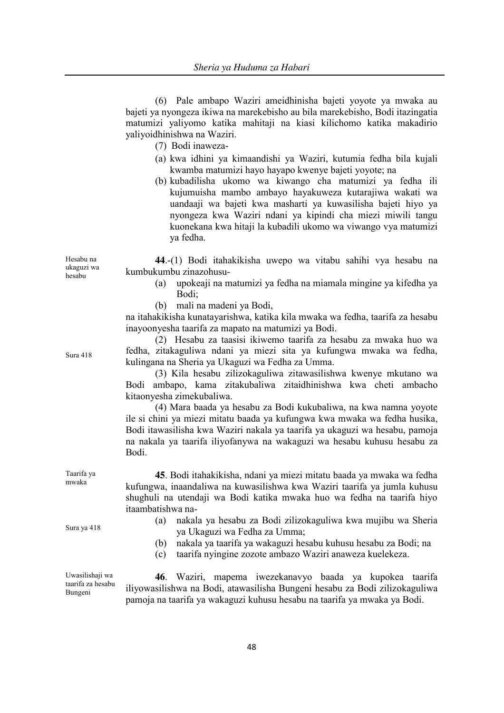(6) Pale ambapo Waziri ameidhinisha bajeti yoyote ya mwaka au bajeti ya nyongeza ikiwa na marekebisho au bila marekebisho, Bodi itazingatia matumizi yaliyomo katika mahitaji na kiasi kilichomo katika makadirio yaliyoidhinishwa na Waziri.

- (7) Bodi inaweza-
- (a) kwa idhini ya kimaandishi ya Waziri, kutumia fedha bila kujali kwamba matumizi hayo hayapo kwenye bajeti yoyote; na
- (b) kubadilisha ukomo wa kiwango cha matumizi ya fedha ili kujumuisha mambo ambayo hayakuweza kutarajiwa wakati wa uandaaji wa bajeti kwa masharti ya kuwasilisha bajeti hiyo ya nyongeza kwa Waziri ndani ya kipindi cha miezi miwili tangu kuonekana kwa hitaji la kubadili ukomo wa viwango vya matumizi ya fedha.

**44**.-(1) Bodi itahakikisha uwepo wa vitabu sahihi vya hesabu na kumbukumbu zinazohusu-

- (a) upokeaji na matumizi ya fedha na miamala mingine ya kifedha ya Bodi;
- (b) mali na madeni ya Bodi,

na itahakikisha kunatayarishwa, katika kila mwaka wa fedha, taarifa za hesabu inayoonyesha taarifa za mapato na matumizi ya Bodi.

(2) Hesabu za taasisi ikiwemo taarifa za hesabu za mwaka huo wa fedha, zitakaguliwa ndani ya miezi sita ya kufungwa mwaka wa fedha, kulingana na Sheria ya Ukaguzi wa Fedha za Umma.

(3) Kila hesabu zilizokaguliwa zitawasilishwa kwenye mkutano wa Bodi ambapo, kama zitakubaliwa zitaidhinishwa kwa cheti ambacho kitaonyesha zimekubaliwa.

(4) Mara baada ya hesabu za Bodi kukubaliwa, na kwa namna yoyote ile si chini ya miezi mitatu baada ya kufungwa kwa mwaka wa fedha husika, Bodi itawasilisha kwa Waziri nakala ya taarifa ya ukaguzi wa hesabu, pamoja na nakala ya taarifa iliyofanywa na wakaguzi wa hesabu kuhusu hesabu za Bodi.

**45**. Bodi itahakikisha, ndani ya miezi mitatu baada ya mwaka wa fedha kufungwa, inaandaliwa na kuwasilishwa kwa Waziri taarifa ya jumla kuhusu shughuli na utendaji wa Bodi katika mwaka huo wa fedha na taarifa hiyo itaambatishwa na-

- Sura ya 418 (a) nakala ya hesabu za Bodi zilizokaguliwa kwa mujibu wa Sheria ya Ukaguzi wa Fedha za Umma;
	- (b) nakala ya taarifa ya wakaguzi hesabu kuhusu hesabu za Bodi; na
	- (c) taarifa nyingine zozote ambazo Waziri anaweza kuelekeza.

**46**. Waziri, mapema iwezekanavyo baada ya kupokea taarifa iliyowasilishwa na Bodi, atawasilisha Bungeni hesabu za Bodi zilizokaguliwa pamoja na taarifa ya wakaguzi kuhusu hesabu na taarifa ya mwaka ya Bodi.

Hesabu na ukaguzi wa hesabu

Sura 418

Taarifa ya mwaka

Uwasilishaji wa taarifa za hesabu Bungeni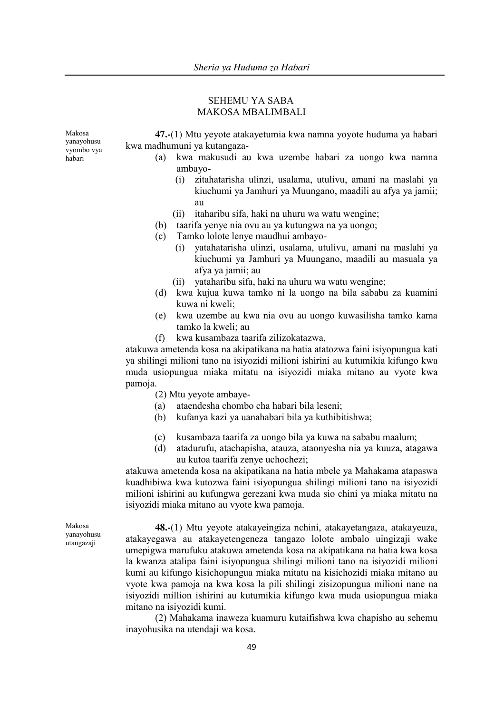# SEHEMU YA SABA MAKOSA MBALIMBALI

Makosa yanayohusu vyombo vya habari

**47.-**(1) Mtu yeyote atakayetumia kwa namna yoyote huduma ya habari kwa madhumuni ya kutangaza-

- (a) kwa makusudi au kwa uzembe habari za uongo kwa namna ambayo-
	- (i) zitahatarisha ulinzi, usalama, utulivu, amani na maslahi ya kiuchumi ya Jamhuri ya Muungano, maadili au afya ya jamii; au
	- (ii) itaharibu sifa, haki na uhuru wa watu wengine;
- (b) taarifa yenye nia ovu au ya kutungwa na ya uongo;
- (c) Tamko lolote lenye maudhui ambayo-
	- (i) yatahatarisha ulinzi, usalama, utulivu, amani na maslahi ya kiuchumi ya Jamhuri ya Muungano, maadili au masuala ya afya ya jamii; au
	- (ii) yataharibu sifa, haki na uhuru wa watu wengine;
- (d) kwa kujua kuwa tamko ni la uongo na bila sababu za kuamini kuwa ni kweli;
- (e) kwa uzembe au kwa nia ovu au uongo kuwasilisha tamko kama tamko la kweli; au
- (f) kwa kusambaza taarifa zilizokatazwa,

atakuwa ametenda kosa na akipatikana na hatia atatozwa faini isiyopungua kati ya shilingi milioni tano na isiyozidi milioni ishirini au kutumikia kifungo kwa muda usiopungua miaka mitatu na isiyozidi miaka mitano au vyote kwa pamoja.

- (2) Mtu yeyote ambaye-
- (a) ataendesha chombo cha habari bila leseni;
- (b) kufanya kazi ya uanahabari bila ya kuthibitishwa;
- (c) kusambaza taarifa za uongo bila ya kuwa na sababu maalum;
- (d) atadurufu, atachapisha, atauza, ataonyesha nia ya kuuza, atagawa au kutoa taarifa zenye uchochezi;

atakuwa ametenda kosa na akipatikana na hatia mbele ya Mahakama atapaswa kuadhibiwa kwa kutozwa faini isiyopungua shilingi milioni tano na isiyozidi milioni ishirini au kufungwa gerezani kwa muda sio chini ya miaka mitatu na isiyozidi miaka mitano au vyote kwa pamoja.

Makosa yanayohusu utangazaji

**48.-**(1) Mtu yeyote atakayeingiza nchini, atakayetangaza, atakayeuza, atakayegawa au atakayetengeneza tangazo lolote ambalo uingizaji wake umepigwa marufuku atakuwa ametenda kosa na akipatikana na hatia kwa kosa la kwanza atalipa faini isiyopungua shilingi milioni tano na isiyozidi milioni kumi au kifungo kisichopungua miaka mitatu na kisichozidi miaka mitano au vyote kwa pamoja na kwa kosa la pili shilingi zisizopungua milioni nane na isiyozidi million ishirini au kutumikia kifungo kwa muda usiopungua miaka mitano na isiyozidi kumi.

(2) Mahakama inaweza kuamuru kutaifishwa kwa chapisho au sehemu inayohusika na utendaji wa kosa.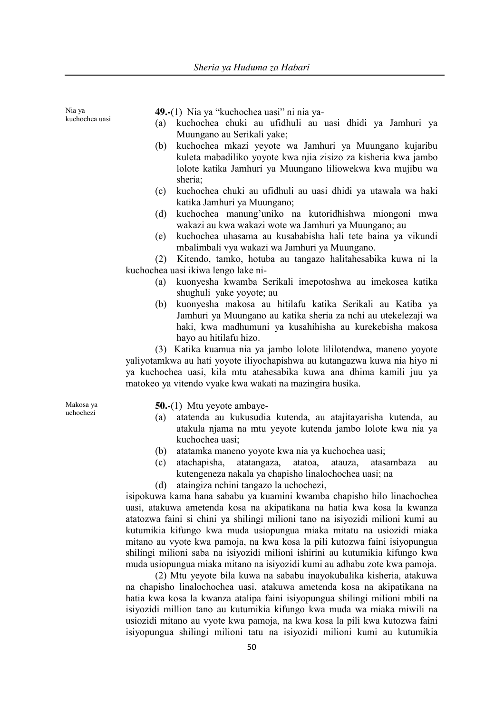kuchochea uasi **49.-**(1) Nia ya "kuchochea uasi" ni nia ya- (a) kuchochea chuki au ufidhuli au uasi dhidi ya Jamhuri ya Muungano au Serikali yake; (b) kuchochea mkazi yeyote wa Jamhuri ya Muungano kujaribu kuleta mabadiliko yoyote kwa njia zisizo za kisheria kwa jambo lolote katika Jamhuri ya Muungano liliowekwa kwa mujibu wa sheria; (c) kuchochea chuki au ufidhuli au uasi dhidi ya utawala wa haki

- katika Jamhuri ya Muungano;
- (d) kuchochea manung'uniko na kutoridhishwa miongoni mwa wakazi au kwa wakazi wote wa Jamhuri ya Muungano; au
- (e) kuchochea uhasama au kusababisha hali tete baina ya vikundi mbalimbali vya wakazi wa Jamhuri ya Muungano.

(2) Kitendo, tamko, hotuba au tangazo halitahesabika kuwa ni la kuchochea uasi ikiwa lengo lake ni-

- (a) kuonyesha kwamba Serikali imepotoshwa au imekosea katika shughuli yake yoyote; au
- (b) kuonyesha makosa au hitilafu katika Serikali au Katiba ya Jamhuri ya Muungano au katika sheria za nchi au utekelezaji wa haki, kwa madhumuni ya kusahihisha au kurekebisha makosa hayo au hitilafu hizo.

(3) Katika kuamua nia ya jambo lolote lililotendwa, maneno yoyote yaliyotamkwa au hati yoyote iliyochapishwa au kutangazwa kuwa nia hiyo ni ya kuchochea uasi, kila mtu atahesabika kuwa ana dhima kamili juu ya matokeo ya vitendo vyake kwa wakati na mazingira husika.

Makosa ya uchochezi

Nia ya

**50.-**(1) Mtu yeyote ambaye-

- (a) atatenda au kukusudia kutenda, au atajitayarisha kutenda, au atakula njama na mtu yeyote kutenda jambo lolote kwa nia ya kuchochea uasi;
- (b) atatamka maneno yoyote kwa nia ya kuchochea uasi;
- (c) atachapisha, atatangaza, atatoa, atauza, atasambaza au kutengeneza nakala ya chapisho linalochochea uasi; na
- (d) ataingiza nchini tangazo la uchochezi,

isipokuwa kama hana sababu ya kuamini kwamba chapisho hilo linachochea uasi, atakuwa ametenda kosa na akipatikana na hatia kwa kosa la kwanza atatozwa faini si chini ya shilingi milioni tano na isiyozidi milioni kumi au kutumikia kifungo kwa muda usiopungua miaka mitatu na usiozidi miaka mitano au vyote kwa pamoja, na kwa kosa la pili kutozwa faini isiyopungua shilingi milioni saba na isiyozidi milioni ishirini au kutumikia kifungo kwa muda usiopungua miaka mitano na isiyozidi kumi au adhabu zote kwa pamoja.

(2) Mtu yeyote bila kuwa na sababu inayokubalika kisheria, atakuwa na chapisho linalochochea uasi, atakuwa ametenda kosa na akipatikana na hatia kwa kosa la kwanza atalipa faini isiyopungua shilingi milioni mbili na isiyozidi million tano au kutumikia kifungo kwa muda wa miaka miwili na usiozidi mitano au vyote kwa pamoja, na kwa kosa la pili kwa kutozwa faini isiyopungua shilingi milioni tatu na isiyozidi milioni kumi au kutumikia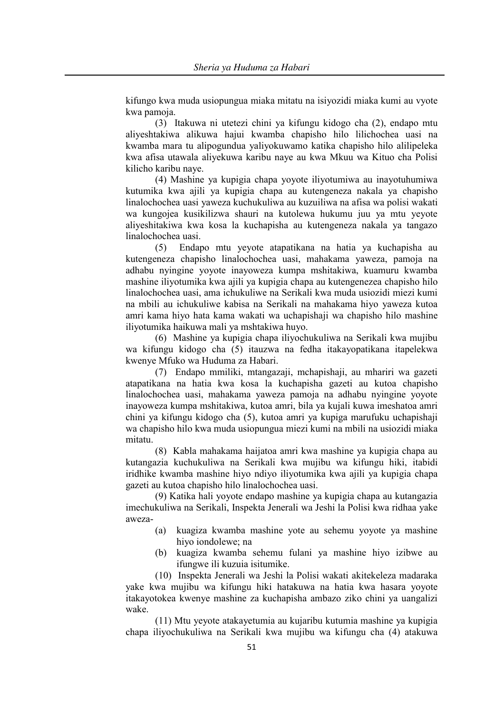kifungo kwa muda usiopungua miaka mitatu na isiyozidi miaka kumi au vyote kwa pamoja.

(3) Itakuwa ni utetezi chini ya kifungu kidogo cha (2), endapo mtu aliyeshtakiwa alikuwa hajui kwamba chapisho hilo lilichochea uasi na kwamba mara tu alipogundua yaliyokuwamo katika chapisho hilo alilipeleka kwa afisa utawala aliyekuwa karibu naye au kwa Mkuu wa Kituo cha Polisi kilicho karibu naye.

(4) Mashine ya kupigia chapa yoyote iliyotumiwa au inayotuhumiwa kutumika kwa ajili ya kupigia chapa au kutengeneza nakala ya chapisho linalochochea uasi yaweza kuchukuliwa au kuzuiliwa na afisa wa polisi wakati wa kungojea kusikilizwa shauri na kutolewa hukumu juu ya mtu yeyote aliyeshitakiwa kwa kosa la kuchapisha au kutengeneza nakala ya tangazo linalochochea uasi.

(5) Endapo mtu yeyote atapatikana na hatia ya kuchapisha au kutengeneza chapisho linalochochea uasi, mahakama yaweza, pamoja na adhabu nyingine yoyote inayoweza kumpa mshitakiwa, kuamuru kwamba mashine iliyotumika kwa ajili ya kupigia chapa au kutengenezea chapisho hilo linalochochea uasi, ama ichukuliwe na Serikali kwa muda usiozidi miezi kumi na mbili au ichukuliwe kabisa na Serikali na mahakama hiyo yaweza kutoa amri kama hiyo hata kama wakati wa uchapishaji wa chapisho hilo mashine iliyotumika haikuwa mali ya mshtakiwa huyo.

(6) Mashine ya kupigia chapa iliyochukuliwa na Serikali kwa mujibu wa kifungu kidogo cha (5) itauzwa na fedha itakayopatikana itapelekwa kwenye Mfuko wa Huduma za Habari.

(7) Endapo mmiliki, mtangazaji, mchapishaji, au mhariri wa gazeti atapatikana na hatia kwa kosa la kuchapisha gazeti au kutoa chapisho linalochochea uasi, mahakama yaweza pamoja na adhabu nyingine yoyote inayoweza kumpa mshitakiwa, kutoa amri, bila ya kujali kuwa imeshatoa amri chini ya kifungu kidogo cha (5), kutoa amri ya kupiga marufuku uchapishaji wa chapisho hilo kwa muda usiopungua miezi kumi na mbili na usiozidi miaka mitatu.

(8) Kabla mahakama haijatoa amri kwa mashine ya kupigia chapa au kutangazia kuchukuliwa na Serikali kwa mujibu wa kifungu hiki, itabidi iridhike kwamba mashine hiyo ndiyo iliyotumika kwa ajili ya kupigia chapa gazeti au kutoa chapisho hilo linalochochea uasi.

(9) Katika hali yoyote endapo mashine ya kupigia chapa au kutangazia imechukuliwa na Serikali, Inspekta Jenerali wa Jeshi la Polisi kwa ridhaa yake aweza-

- (a) kuagiza kwamba mashine yote au sehemu yoyote ya mashine hiyo iondolewe; na
- (b) kuagiza kwamba sehemu fulani ya mashine hiyo izibwe au ifungwe ili kuzuia isitumike.

(10) Inspekta Jenerali wa Jeshi la Polisi wakati akitekeleza madaraka yake kwa mujibu wa kifungu hiki hatakuwa na hatia kwa hasara yoyote itakayotokea kwenye mashine za kuchapisha ambazo ziko chini ya uangalizi wake.

(11) Mtu yeyote atakayetumia au kujaribu kutumia mashine ya kupigia chapa iliyochukuliwa na Serikali kwa mujibu wa kifungu cha (4) atakuwa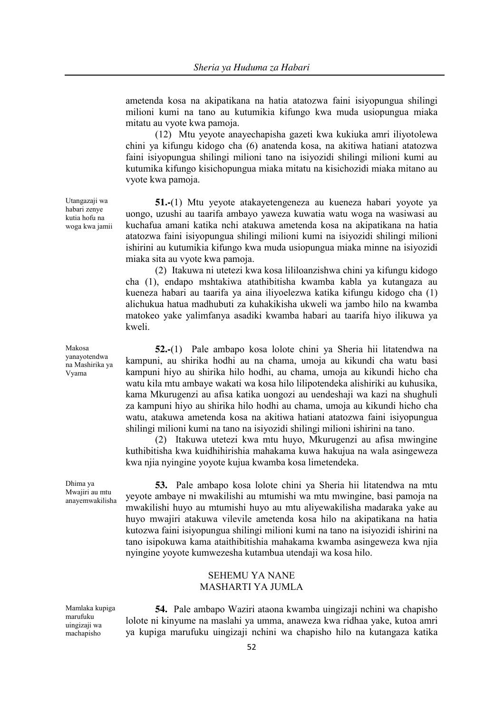ametenda kosa na akipatikana na hatia atatozwa faini isiyopungua shilingi milioni kumi na tano au kutumikia kifungo kwa muda usiopungua miaka mitatu au vyote kwa pamoja.

(12) Mtu yeyote anayechapisha gazeti kwa kukiuka amri iliyotolewa chini ya kifungu kidogo cha (6) anatenda kosa, na akitiwa hatiani atatozwa faini isiyopungua shilingi milioni tano na isiyozidi shilingi milioni kumi au kutumika kifungo kisichopungua miaka mitatu na kisichozidi miaka mitano au vyote kwa pamoja.

**51.-**(1) Mtu yeyote atakayetengeneza au kueneza habari yoyote ya uongo, uzushi au taarifa ambayo yaweza kuwatia watu woga na wasiwasi au kuchafua amani katika nchi atakuwa ametenda kosa na akipatikana na hatia atatozwa faini isiyopungua shilingi milioni kumi na isiyozidi shilingi milioni ishirini au kutumikia kifungo kwa muda usiopungua miaka minne na isiyozidi miaka sita au vyote kwa pamoja.

(2) Itakuwa ni utetezi kwa kosa lililoanzishwa chini ya kifungu kidogo cha (1), endapo mshtakiwa atathibitisha kwamba kabla ya kutangaza au kueneza habari au taarifa ya aina iliyoelezwa katika kifungu kidogo cha (1) alichukua hatua madhubuti za kuhakikisha ukweli wa jambo hilo na kwamba matokeo yake yalimfanya asadiki kwamba habari au taarifa hiyo ilikuwa ya kweli.

**52.-**(1) Pale ambapo kosa lolote chini ya Sheria hii litatendwa na kampuni, au shirika hodhi au na chama, umoja au kikundi cha watu basi kampuni hiyo au shirika hilo hodhi, au chama, umoja au kikundi hicho cha watu kila mtu ambaye wakati wa kosa hilo lilipotendeka alishiriki au kuhusika, kama Mkurugenzi au afisa katika uongozi au uendeshaji wa kazi na shughuli za kampuni hiyo au shirika hilo hodhi au chama, umoja au kikundi hicho cha watu, atakuwa ametenda kosa na akitiwa hatiani atatozwa faini isiyopungua shilingi milioni kumi na tano na isiyozidi shilingi milioni ishirini na tano.

(2) Itakuwa utetezi kwa mtu huyo, Mkurugenzi au afisa mwingine kuthibitisha kwa kuidhihirishia mahakama kuwa hakujua na wala asingeweza kwa njia nyingine yoyote kujua kwamba kosa limetendeka.

**53.** Pale ambapo kosa lolote chini ya Sheria hii litatendwa na mtu yeyote ambaye ni mwakilishi au mtumishi wa mtu mwingine, basi pamoja na mwakilishi huyo au mtumishi huyo au mtu aliyewakilisha madaraka yake au huyo mwajiri atakuwa vilevile ametenda kosa hilo na akipatikana na hatia kutozwa faini isiyopungua shilingi milioni kumi na tano na isiyozidi ishirini na tano isipokuwa kama ataithibitishia mahakama kwamba asingeweza kwa njia nyingine yoyote kumwezesha kutambua utendaji wa kosa hilo.

### SEHEMU YA NANE MASHARTI YA JUMLA

Mamlaka kupiga marufuku uingizaji wa machapisho

**54.** Pale ambapo Waziri ataona kwamba uingizaji nchini wa chapisho lolote ni kinyume na maslahi ya umma, anaweza kwa ridhaa yake, kutoa amri ya kupiga marufuku uingizaji nchini wa chapisho hilo na kutangaza katika

Utangazaji wa habari zenye kutia hofu na woga kwa jamii

#### Makosa yanayotendwa na Mashirika ya Vyama

Dhima ya Mwajiri au mtu anayemwakilisha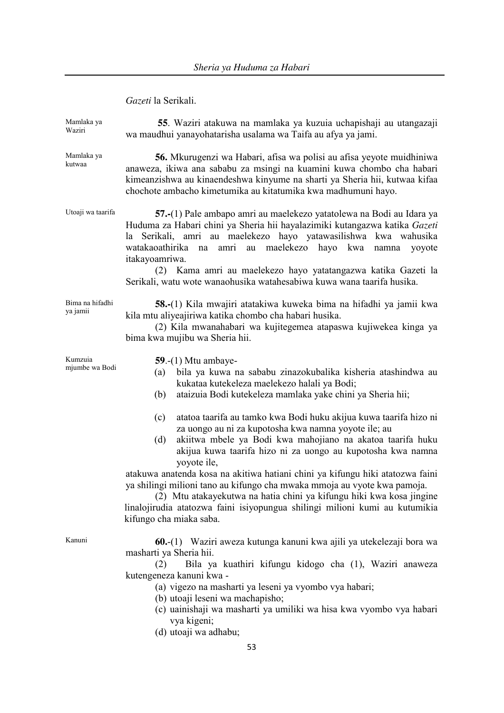*Gazeti* la Serikali.

| Mamlaka ya<br>Waziri        | 55. Waziri atakuwa na mamlaka ya kuzuia uchapishaji au utangazaji<br>wa maudhui yanayohatarisha usalama wa Taifa au afya ya jami.                                                                                                                                                                                                                                                                                                                                                                                                                                                                                                                                                                                                                                                                                                                       |
|-----------------------------|---------------------------------------------------------------------------------------------------------------------------------------------------------------------------------------------------------------------------------------------------------------------------------------------------------------------------------------------------------------------------------------------------------------------------------------------------------------------------------------------------------------------------------------------------------------------------------------------------------------------------------------------------------------------------------------------------------------------------------------------------------------------------------------------------------------------------------------------------------|
| Mamlaka ya<br>kutwaa        | 56. Mkurugenzi wa Habari, afisa wa polisi au afisa yeyote muidhiniwa<br>anaweza, ikiwa ana sababu za msingi na kuamini kuwa chombo cha habari<br>kimeanzishwa au kinaendeshwa kinyume na sharti ya Sheria hii, kutwaa kifaa<br>chochote ambacho kimetumika au kitatumika kwa madhumuni hayo.                                                                                                                                                                                                                                                                                                                                                                                                                                                                                                                                                            |
| Utoaji wa taarifa           | 57.-(1) Pale ambapo amri au maelekezo yatatolewa na Bodi au Idara ya<br>Huduma za Habari chini ya Sheria hii hayalazimiki kutangazwa katika Gazeti<br>la Serikali, amri au maelekezo hayo yatawasilishwa kwa wahusika<br>au maelekezo hayo kwa<br>watakaoathirika na<br>amri<br>namna<br>yoyote<br>itakayoamriwa.<br>(2) Kama amri au maelekezo hayo yatatangazwa katika Gazeti la<br>Serikali, watu wote wanaohusika watahesabiwa kuwa wana taarifa husika.                                                                                                                                                                                                                                                                                                                                                                                            |
| Bima na hifadhi<br>ya jamii | <b>58.-</b> (1) Kila mwajiri atatakiwa kuweka bima na hifadhi ya jamii kwa<br>kila mtu aliyeajiriwa katika chombo cha habari husika.<br>(2) Kila mwanahabari wa kujitegemea atapaswa kujiwekea kinga ya<br>bima kwa mujibu wa Sheria hii.                                                                                                                                                                                                                                                                                                                                                                                                                                                                                                                                                                                                               |
| Kumzuia<br>mjumbe wa Bodi   | $59.-(1)$ Mtu ambaye-<br>bila ya kuwa na sababu zinazokubalika kisheria atashindwa au<br>(a)<br>kukataa kutekeleza maelekezo halali ya Bodi;<br>ataizuia Bodi kutekeleza mamlaka yake chini ya Sheria hii;<br>(b)<br>atatoa taarifa au tamko kwa Bodi huku akijua kuwa taarifa hizo ni<br>(c)<br>za uongo au ni za kupotosha kwa namna yoyote ile; au<br>akiitwa mbele ya Bodi kwa mahojiano na akatoa taarifa huku<br>(d)<br>akijua kuwa taarifa hizo ni za uongo au kupotosha kwa namna<br>yoyote ile,<br>atakuwa anatenda kosa na akitiwa hatiani chini ya kifungu hiki atatozwa faini<br>ya shilingi milioni tano au kifungo cha mwaka mmoja au vyote kwa pamoja.<br>(2) Mtu atakayekutwa na hatia chini ya kifungu hiki kwa kosa jingine<br>linalojirudia atatozwa faini isiyopungua shilingi milioni kumi au kutumikia<br>kifungo cha miaka saba. |
| Kanuni                      | 60.-(1) Waziri aweza kutunga kanuni kwa ajili ya utekelezaji bora wa<br>masharti ya Sheria hii.<br>Bila ya kuathiri kifungu kidogo cha (1), Waziri anaweza<br>(2)<br>kutengeneza kanuni kwa -<br>(a) vigezo na masharti ya leseni ya vyombo vya habari;                                                                                                                                                                                                                                                                                                                                                                                                                                                                                                                                                                                                 |

- (b) utoaji leseni wa machapisho;
- (c) uainishaji wa masharti ya umiliki wa hisa kwa vyombo vya habari vya kigeni;
- (d) utoaji wa adhabu;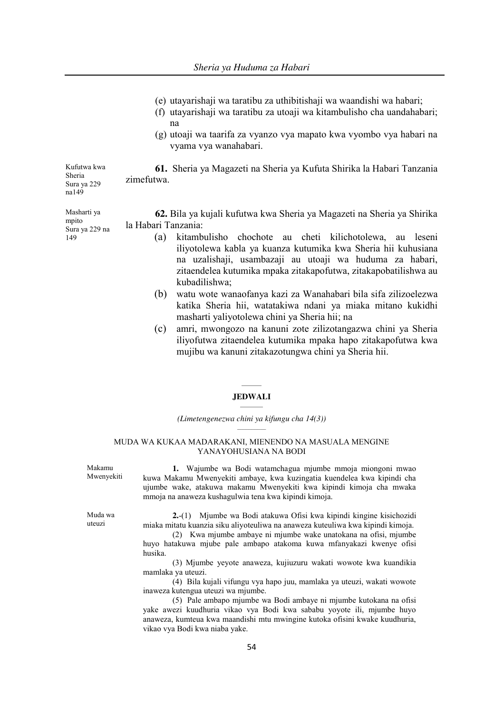- (e) utayarishaji wa taratibu za uthibitishaji wa waandishi wa habari;
- (f) utayarishaji wa taratibu za utoaji wa kitambulisho cha uandahabari; na
- (g) utoaji wa taarifa za vyanzo vya mapato kwa vyombo vya habari na vyama vya wanahabari.

Kufutwa kwa Sheria Sura ya 229 na149 **61.** Sheria ya Magazeti na Sheria ya Kufuta Shirika la Habari Tanzania zimefutwa.

Masharti ya mpito Sura ya 229 na 149

**62.** Bila ya kujali kufutwa kwa Sheria ya Magazeti na Sheria ya Shirika la Habari Tanzania:

- (a) kitambulisho chochote au cheti kilichotolewa, au leseni iliyotolewa kabla ya kuanza kutumika kwa Sheria hii kuhusiana na uzalishaji, usambazaji au utoaji wa huduma za habari, zitaendelea kutumika mpaka zitakapofutwa, zitakapobatilishwa au kubadilishwa;
- (b) watu wote wanaofanya kazi za Wanahabari bila sifa zilizoelezwa katika Sheria hii, watatakiwa ndani ya miaka mitano kukidhi masharti yaliyotolewa chini ya Sheria hii; na
- (c) amri, mwongozo na kanuni zote zilizotangazwa chini ya Sheria iliyofutwa zitaendelea kutumika mpaka hapo zitakapofutwa kwa mujibu wa kanuni zitakazotungwa chini ya Sheria hii.

# **\_\_\_\_\_\_\_ JEDWALI \_\_\_\_\_\_\_\_**

*(Limetengenezwa chini ya kifungu cha 14(3))*  $\mathcal{L}_\text{max}$ 

#### MUDA WA KUKAA MADARAKANI, MIENENDO NA MASUALA MENGINE YANAYOHUSIANA NA BODI

Makamu Mwenyekiti

**1.** Wajumbe wa Bodi watamchagua mjumbe mmoja miongoni mwao kuwa Makamu Mwenyekiti ambaye, kwa kuzingatia kuendelea kwa kipindi cha ujumbe wake, atakuwa makamu Mwenyekiti kwa kipindi kimoja cha mwaka mmoja na anaweza kushagulwia tena kwa kipindi kimoja.

Muda wa uteuzi

**2.**-(1) Mjumbe wa Bodi atakuwa Ofisi kwa kipindi kingine kisichozidi miaka mitatu kuanzia siku aliyoteuliwa na anaweza kuteuliwa kwa kipindi kimoja.

(2) Kwa mjumbe ambaye ni mjumbe wake unatokana na ofisi, mjumbe huyo hatakuwa mjube pale ambapo atakoma kuwa mfanyakazi kwenye ofisi husika.

(3) Mjumbe yeyote anaweza, kujiuzuru wakati wowote kwa kuandikia mamlaka ya uteuzi.

(4) Bila kujali vifungu vya hapo juu, mamlaka ya uteuzi, wakati wowote inaweza kutengua uteuzi wa mjumbe.

(5) Pale ambapo mjumbe wa Bodi ambaye ni mjumbe kutokana na ofisi yake awezi kuudhuria vikao vya Bodi kwa sababu yoyote ili, mjumbe huyo anaweza, kumteua kwa maandishi mtu mwingine kutoka ofisini kwake kuudhuria, vikao vya Bodi kwa niaba yake.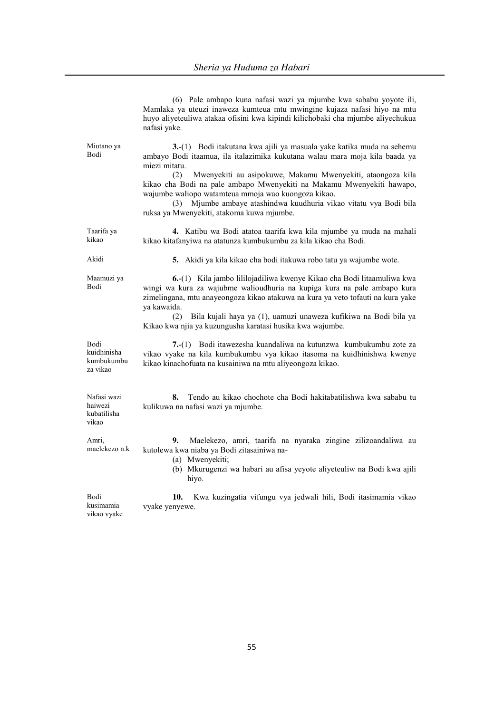(6) Pale ambapo kuna nafasi wazi ya mjumbe kwa sababu yoyote ili,

|                                                | Mamlaka ya uteuzi inaweza kumteua mtu mwingine kujaza nafasi hiyo na mtu<br>huyo aliyeteuliwa atakaa ofisini kwa kipindi kilichobaki cha mjumbe aliyechukua<br>nafasi yake.                                                                                                                                                                                                                                                                                                                     |
|------------------------------------------------|-------------------------------------------------------------------------------------------------------------------------------------------------------------------------------------------------------------------------------------------------------------------------------------------------------------------------------------------------------------------------------------------------------------------------------------------------------------------------------------------------|
| Miutano ya<br>Bodi                             | 3.-(1) Bodi itakutana kwa ajili ya masuala yake katika muda na sehemu<br>ambayo Bodi itaamua, ila italazimika kukutana walau mara moja kila baada ya<br>miezi mitatu.<br>Mwenyekiti au asipokuwe, Makamu Mwenyekiti, ataongoza kila<br>(2)<br>kikao cha Bodi na pale ambapo Mwenyekiti na Makamu Mwenyekiti hawapo,<br>wajumbe waliopo watamteua mmoja wao kuongoza kikao.<br>Mjumbe ambaye atashindwa kuudhuria vikao vitatu vya Bodi bila<br>(3)<br>ruksa ya Mwenyekiti, atakoma kuwa mjumbe. |
| Taarifa ya<br>kikao                            | 4. Katibu wa Bodi atatoa taarifa kwa kila mjumbe ya muda na mahali<br>kikao kitafanyiwa na atatunza kumbukumbu za kila kikao cha Bodi.                                                                                                                                                                                                                                                                                                                                                          |
| Akidi                                          | 5. Akidi ya kila kikao cha bodi itakuwa robo tatu ya wajumbe wote.                                                                                                                                                                                                                                                                                                                                                                                                                              |
| Maamuzi ya<br>Bodi                             | 6.-(1) Kila jambo lililojadiliwa kwenye Kikao cha Bodi litaamuliwa kwa<br>wingi wa kura za wajubme walioudhuria na kupiga kura na pale ambapo kura<br>zimelingana, mtu anayeongoza kikao atakuwa na kura ya veto tofauti na kura yake<br>ya kawaida.<br>Bila kujali haya ya (1), uamuzi unaweza kufikiwa na Bodi bila ya<br>(2)<br>Kikao kwa njia ya kuzungusha karatasi husika kwa wajumbe.                                                                                                    |
| Bodi<br>kuidhinisha<br>kumbukumbu<br>za vikao  | 7.-(1) Bodi itawezesha kuandaliwa na kutunzwa kumbukumbu zote za<br>vikao vyake na kila kumbukumbu vya kikao itasoma na kuidhinishwa kwenye<br>kikao kinachofuata na kusainiwa na mtu aliyeongoza kikao.                                                                                                                                                                                                                                                                                        |
| Nafasi wazi<br>haiwezi<br>kubatilisha<br>vikao | 8.<br>Tendo au kikao chochote cha Bodi hakitabatilishwa kwa sababu tu<br>kulikuwa na nafasi wazi ya mjumbe.                                                                                                                                                                                                                                                                                                                                                                                     |
| Amri,<br>maelekezo n.k                         | 9.<br>Maelekezo, amri, taarifa na nyaraka zingine zilizoandaliwa au<br>kutolewa kwa niaba ya Bodi zitasainiwa na-<br>(a) Mwenyekiti;<br>(b) Mkurugenzi wa habari au afisa yeyote aliyeteuliw na Bodi kwa ajili<br>hiyo.                                                                                                                                                                                                                                                                         |
| Bodi<br>kusimamia<br>vikao vyake               | Kwa kuzingatia vifungu vya jedwali hili, Bodi itasimamia vikao<br>10.<br>vyake yenyewe.                                                                                                                                                                                                                                                                                                                                                                                                         |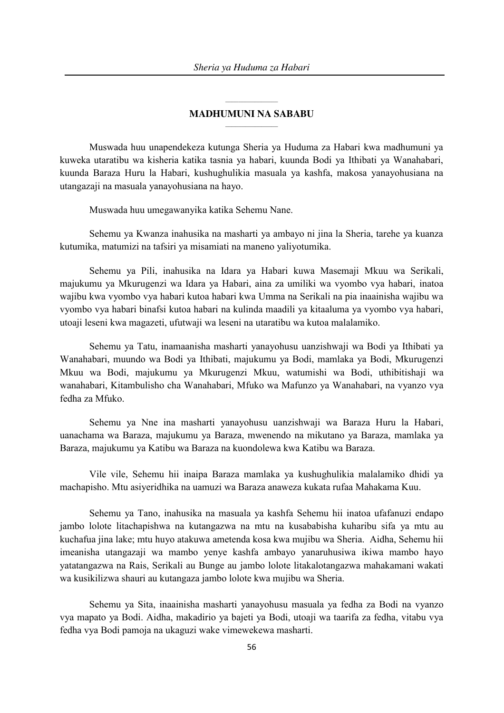# $\mathcal{L}=\mathcal{L}^{\mathcal{L}}$  , where  $\mathcal{L}^{\mathcal{L}}$ **MADHUMUNI NA SABABU**  $\mathcal{L}_\text{max}$

Muswada huu unapendekeza kutunga Sheria ya Huduma za Habari kwa madhumuni ya kuweka utaratibu wa kisheria katika tasnia ya habari, kuunda Bodi ya Ithibati ya Wanahabari, kuunda Baraza Huru la Habari, kushughulikia masuala ya kashfa, makosa yanayohusiana na utangazaji na masuala yanayohusiana na hayo.

Muswada huu umegawanyika katika Sehemu Nane.

Sehemu ya Kwanza inahusika na masharti ya ambayo ni jina la Sheria, tarehe ya kuanza kutumika, matumizi na tafsiri ya misamiati na maneno yaliyotumika.

Sehemu ya Pili, inahusika na Idara ya Habari kuwa Masemaji Mkuu wa Serikali, majukumu ya Mkurugenzi wa Idara ya Habari, aina za umiliki wa vyombo vya habari, inatoa wajibu kwa vyombo vya habari kutoa habari kwa Umma na Serikali na pia inaainisha wajibu wa vyombo vya habari binafsi kutoa habari na kulinda maadili ya kitaaluma ya vyombo vya habari, utoaji leseni kwa magazeti, ufutwaji wa leseni na utaratibu wa kutoa malalamiko.

Sehemu ya Tatu, inamaanisha masharti yanayohusu uanzishwaji wa Bodi ya Ithibati ya Wanahabari, muundo wa Bodi ya Ithibati, majukumu ya Bodi, mamlaka ya Bodi, Mkurugenzi Mkuu wa Bodi, majukumu ya Mkurugenzi Mkuu, watumishi wa Bodi, uthibitishaji wa wanahabari, Kitambulisho cha Wanahabari, Mfuko wa Mafunzo ya Wanahabari, na vyanzo vya fedha za Mfuko.

Sehemu ya Nne ina masharti yanayohusu uanzishwaji wa Baraza Huru la Habari, uanachama wa Baraza, majukumu ya Baraza, mwenendo na mikutano ya Baraza, mamlaka ya Baraza, majukumu ya Katibu wa Baraza na kuondolewa kwa Katibu wa Baraza.

Vile vile, Sehemu hii inaipa Baraza mamlaka ya kushughulikia malalamiko dhidi ya machapisho. Mtu asiyeridhika na uamuzi wa Baraza anaweza kukata rufaa Mahakama Kuu.

Sehemu ya Tano, inahusika na masuala ya kashfa Sehemu hii inatoa ufafanuzi endapo jambo lolote litachapishwa na kutangazwa na mtu na kusababisha kuharibu sifa ya mtu au kuchafua jina lake; mtu huyo atakuwa ametenda kosa kwa mujibu wa Sheria. Aidha, Sehemu hii imeanisha utangazaji wa mambo yenye kashfa ambayo yanaruhusiwa ikiwa mambo hayo yatatangazwa na Rais, Serikali au Bunge au jambo lolote litakalotangazwa mahakamani wakati wa kusikilizwa shauri au kutangaza jambo lolote kwa mujibu wa Sheria.

Sehemu ya Sita, inaainisha masharti yanayohusu masuala ya fedha za Bodi na vyanzo vya mapato ya Bodi. Aidha, makadirio ya bajeti ya Bodi, utoaji wa taarifa za fedha, vitabu vya fedha vya Bodi pamoja na ukaguzi wake vimewekewa masharti.